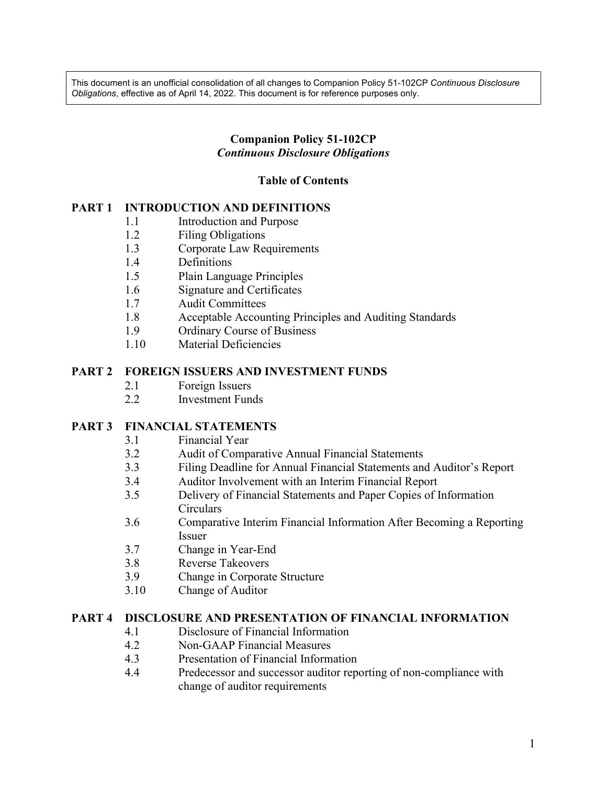This document is an unofficial consolidation of all changes to Companion Policy 51-102CP *Continuous Disclosure Obligations*, effective as of April 14, 2022. This document is for reference purposes only.

### **Companion Policy 51-102CP** *Continuous Disclosure Obligations*

#### **Table of Contents**

### **PART 1 INTRODUCTION AND DEFINITIONS**

- 1.1 Introduction and Purpose
- 1.2 Filing Obligations
- 1.3 Corporate Law Requirements
- 1.4 Definitions
- 1.5 Plain Language Principles
- 1.6 Signature and Certificates
- 1.7 Audit Committees
- 1.8 Acceptable Accounting Principles and Auditing Standards
- 1.9 Ordinary Course of Business
- 1.10 Material Deficiencies

#### **PART 2 FOREIGN ISSUERS AND INVESTMENT FUNDS**

- 2.1 Foreign Issuers
- 2.2 Investment Funds

### **PART 3 FINANCIAL STATEMENTS**

- 3.1 Financial Year
- 3.2 Audit of Comparative Annual Financial Statements
- 3.3 Filing Deadline for Annual Financial Statements and Auditor's Report
- 3.4 Auditor Involvement with an Interim Financial Report
- 3.5 Delivery of Financial Statements and Paper Copies of Information Circulars
- 3.6 Comparative Interim Financial Information After Becoming a Reporting Issuer
- 3.7 Change in Year-End
- 3.8 Reverse Takeovers
- 3.9 Change in Corporate Structure
- 3.10 Change of Auditor

### **PART 4 DISCLOSURE AND PRESENTATION OF FINANCIAL INFORMATION**

- 4.1 Disclosure of Financial Information
- 4.2 Non-GAAP Financial Measures
- 4.3 Presentation of Financial Information
- 4.4 Predecessor and successor auditor reporting of non-compliance with change of auditor requirements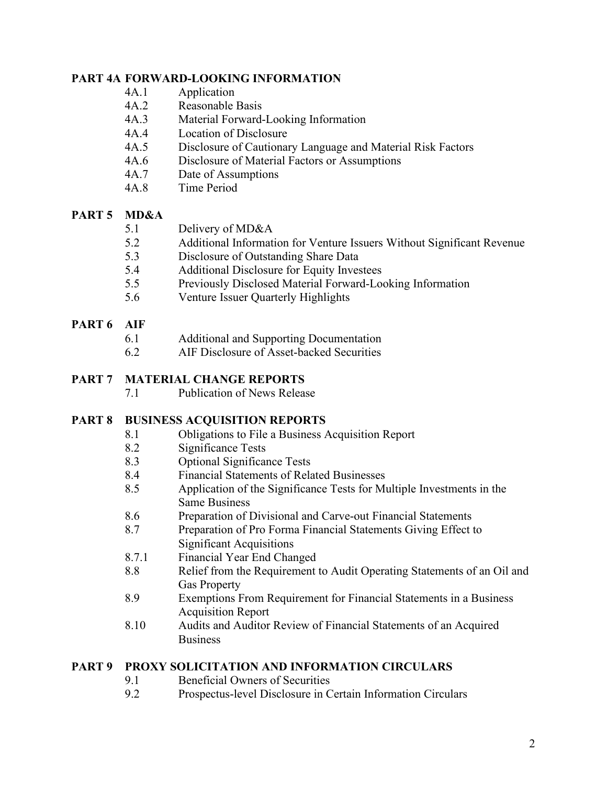### **PART 4A FORWARD-LOOKING INFORMATION**

- 4A.1 Application
- 4A.2 Reasonable Basis
- 4A.3 Material Forward-Looking Information
- 4A.4 Location of Disclosure
- 4A.5 Disclosure of Cautionary Language and Material Risk Factors<br>4A.6 Disclosure of Material Factors or Assumptions
- Disclosure of Material Factors or Assumptions
- 4A.7 Date of Assumptions
- 4A.8 Time Period

# **PART 5 MD&A**

- 5.1 Delivery of MD&A
- 5.2 Additional Information for Venture Issuers Without Significant Revenue
- 5.3 Disclosure of Outstanding Share Data
- 5.4 Additional Disclosure for Equity Investees
- 5.5 Previously Disclosed Material Forward-Looking Information
- 5.6 Venture Issuer Quarterly Highlights

### **PART 6 AIF**

- 6.1 Additional and Supporting Documentation
- 6.2 AIF Disclosure of Asset-backed Securities

### **PART 7 MATERIAL CHANGE REPORTS**

7.1 Publication of News Release

# **PART 8 BUSINESS ACQUISITION REPORTS**

- 8.1 Obligations to File a Business Acquisition Report
- 8.2 Significance Tests
- 8.3 Optional Significance Tests
- 8.4 Financial Statements of Related Businesses
- 8.5 Application of the Significance Tests for Multiple Investments in the Same Business
- 8.6 Preparation of Divisional and Carve-out Financial Statements
- 8.7 Preparation of Pro Forma Financial Statements Giving Effect to Significant Acquisitions
- 8.7.1 Financial Year End Changed
- 8.8 Relief from the Requirement to Audit Operating Statements of an Oil and Gas Property
- 8.9 Exemptions From Requirement for Financial Statements in a Business Acquisition Report
- 8.10 Audits and Auditor Review of Financial Statements of an Acquired Business

### **PART 9 PROXY SOLICITATION AND INFORMATION CIRCULARS**

- 9.1 Beneficial Owners of Securities
- 9.2 Prospectus-level Disclosure in Certain Information Circulars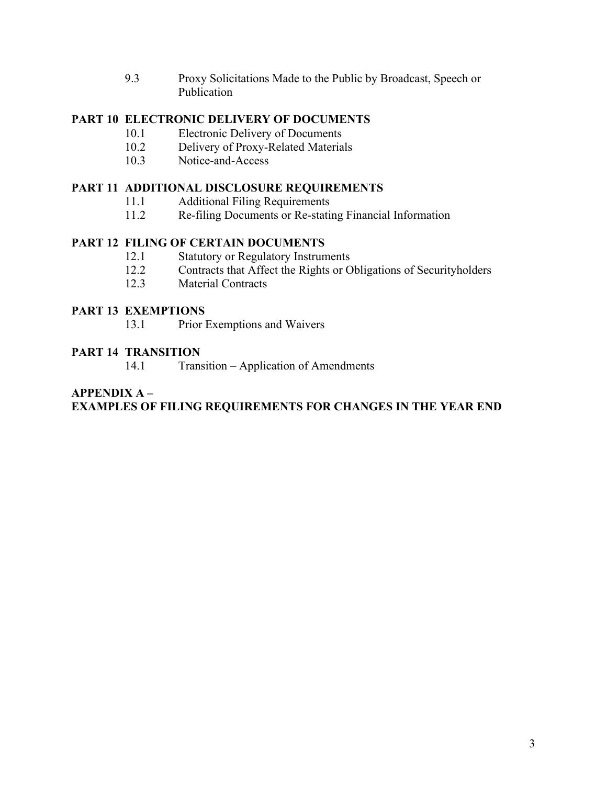9.3 Proxy Solicitations Made to the Public by Broadcast, Speech or Publication

# **PART 10 ELECTRONIC DELIVERY OF DOCUMENTS**

- 10.1 Electronic Delivery of Documents
- 10.2 Delivery of Proxy-Related Materials
- 10.3 Notice-and-Access

### **PART 11 ADDITIONAL DISCLOSURE REQUIREMENTS**

- 11.1 Additional Filing Requirements
- 11.2 Re-filing Documents or Re-stating Financial Information

# **PART 12 FILING OF CERTAIN DOCUMENTS**

- 12.1 Statutory or Regulatory Instruments
- 12.2 Contracts that Affect the Rights or Obligations of Securityholders
- 12.3 Material Contracts

### **PART 13 EXEMPTIONS**

13.1 Prior Exemptions and Waivers

### **PART 14 TRANSITION**

14.1 Transition – Application of Amendments

# **APPENDIX A –**

# **EXAMPLES OF FILING REQUIREMENTS FOR CHANGES IN THE YEAR END**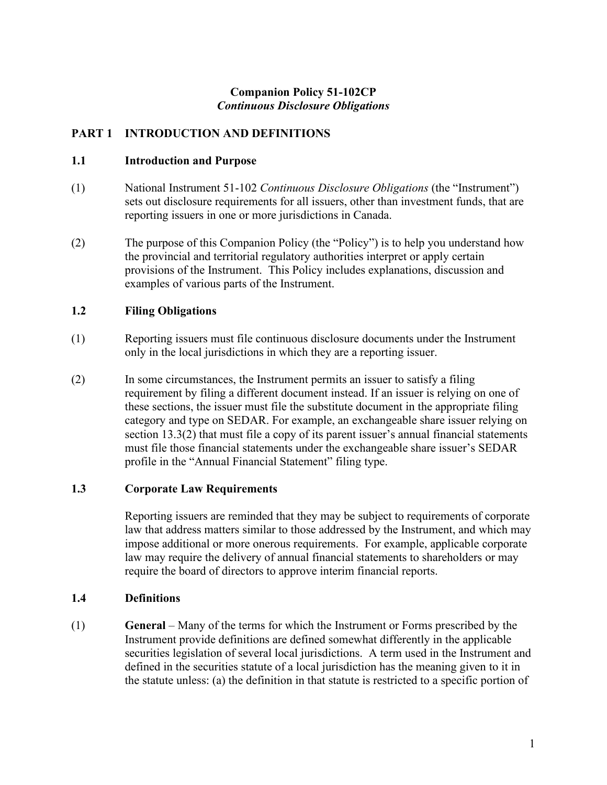# **Companion Policy 51-102CP** *Continuous Disclosure Obligations*

# **PART 1 INTRODUCTION AND DEFINITIONS**

### **1.1 Introduction and Purpose**

- (1) National Instrument 51-102 *Continuous Disclosure Obligations* (the "Instrument") sets out disclosure requirements for all issuers, other than investment funds, that are reporting issuers in one or more jurisdictions in Canada.
- (2) The purpose of this Companion Policy (the "Policy") is to help you understand how the provincial and territorial regulatory authorities interpret or apply certain provisions of the Instrument. This Policy includes explanations, discussion and examples of various parts of the Instrument.

# **1.2 Filing Obligations**

- (1) Reporting issuers must file continuous disclosure documents under the Instrument only in the local jurisdictions in which they are a reporting issuer.
- (2) In some circumstances, the Instrument permits an issuer to satisfy a filing requirement by filing a different document instead. If an issuer is relying on one of these sections, the issuer must file the substitute document in the appropriate filing category and type on SEDAR. For example, an exchangeable share issuer relying on section 13.3(2) that must file a copy of its parent issuer's annual financial statements must file those financial statements under the exchangeable share issuer's SEDAR profile in the "Annual Financial Statement" filing type.

# **1.3 Corporate Law Requirements**

Reporting issuers are reminded that they may be subject to requirements of corporate law that address matters similar to those addressed by the Instrument, and which may impose additional or more onerous requirements. For example, applicable corporate law may require the delivery of annual financial statements to shareholders or may require the board of directors to approve interim financial reports.

### **1.4 Definitions**

(1) **General** – Many of the terms for which the Instrument or Forms prescribed by the Instrument provide definitions are defined somewhat differently in the applicable securities legislation of several local jurisdictions. A term used in the Instrument and defined in the securities statute of a local jurisdiction has the meaning given to it in the statute unless: (a) the definition in that statute is restricted to a specific portion of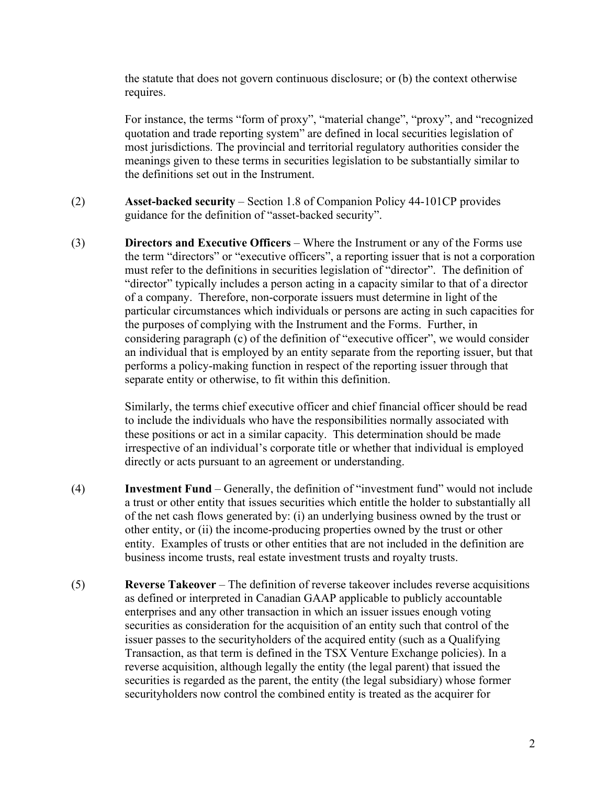the statute that does not govern continuous disclosure; or (b) the context otherwise requires.

For instance, the terms "form of proxy", "material change", "proxy", and "recognized quotation and trade reporting system" are defined in local securities legislation of most jurisdictions. The provincial and territorial regulatory authorities consider the meanings given to these terms in securities legislation to be substantially similar to the definitions set out in the Instrument.

- (2) **Asset-backed security** Section 1.8 of Companion Policy 44-101CP provides guidance for the definition of "asset-backed security".
- (3) **Directors and Executive Officers** Where the Instrument or any of the Forms use the term "directors" or "executive officers", a reporting issuer that is not a corporation must refer to the definitions in securities legislation of "director". The definition of "director" typically includes a person acting in a capacity similar to that of a director of a company. Therefore, non-corporate issuers must determine in light of the particular circumstances which individuals or persons are acting in such capacities for the purposes of complying with the Instrument and the Forms. Further, in considering paragraph (c) of the definition of "executive officer", we would consider an individual that is employed by an entity separate from the reporting issuer, but that performs a policy-making function in respect of the reporting issuer through that separate entity or otherwise, to fit within this definition.

Similarly, the terms chief executive officer and chief financial officer should be read to include the individuals who have the responsibilities normally associated with these positions or act in a similar capacity. This determination should be made irrespective of an individual's corporate title or whether that individual is employed directly or acts pursuant to an agreement or understanding.

- (4) **Investment Fund** Generally, the definition of "investment fund" would not include a trust or other entity that issues securities which entitle the holder to substantially all of the net cash flows generated by: (i) an underlying business owned by the trust or other entity, or (ii) the income-producing properties owned by the trust or other entity. Examples of trusts or other entities that are not included in the definition are business income trusts, real estate investment trusts and royalty trusts.
- (5) **Reverse Takeover** The definition of reverse takeover includes reverse acquisitions as defined or interpreted in Canadian GAAP applicable to publicly accountable enterprises and any other transaction in which an issuer issues enough voting securities as consideration for the acquisition of an entity such that control of the issuer passes to the securityholders of the acquired entity (such as a Qualifying Transaction, as that term is defined in the TSX Venture Exchange policies). In a reverse acquisition, although legally the entity (the legal parent) that issued the securities is regarded as the parent, the entity (the legal subsidiary) whose former securityholders now control the combined entity is treated as the acquirer for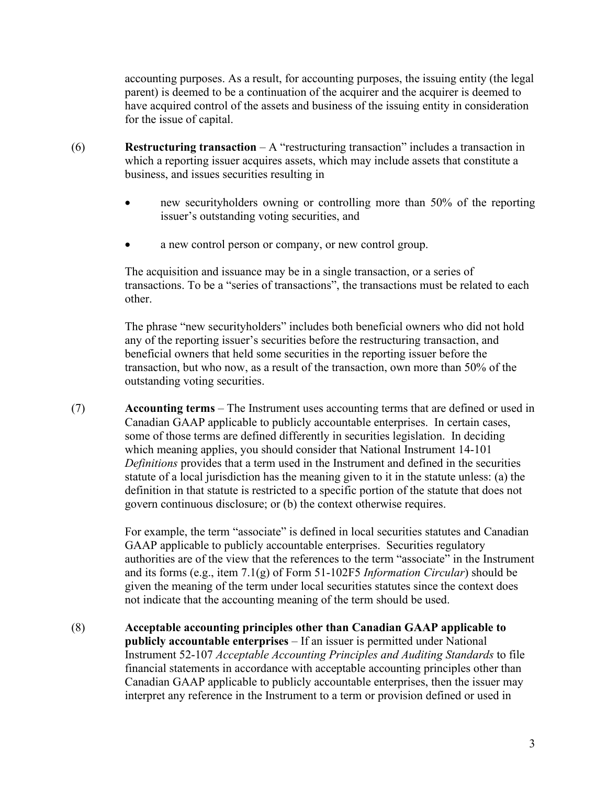accounting purposes. As a result, for accounting purposes, the issuing entity (the legal parent) is deemed to be a continuation of the acquirer and the acquirer is deemed to have acquired control of the assets and business of the issuing entity in consideration for the issue of capital.

- (6) **Restructuring transaction** A "restructuring transaction" includes a transaction in which a reporting issuer acquires assets, which may include assets that constitute a business, and issues securities resulting in
	- new securityholders owning or controlling more than 50% of the reporting issuer's outstanding voting securities, and
	- a new control person or company, or new control group.

The acquisition and issuance may be in a single transaction, or a series of transactions. To be a "series of transactions", the transactions must be related to each other.

The phrase "new securityholders" includes both beneficial owners who did not hold any of the reporting issuer's securities before the restructuring transaction, and beneficial owners that held some securities in the reporting issuer before the transaction, but who now, as a result of the transaction, own more than 50% of the outstanding voting securities.

(7) **Accounting terms** – The Instrument uses accounting terms that are defined or used in Canadian GAAP applicable to publicly accountable enterprises. In certain cases, some of those terms are defined differently in securities legislation. In deciding which meaning applies, you should consider that National Instrument 14-101 *Definitions* provides that a term used in the Instrument and defined in the securities statute of a local jurisdiction has the meaning given to it in the statute unless: (a) the definition in that statute is restricted to a specific portion of the statute that does not govern continuous disclosure; or (b) the context otherwise requires.

> For example, the term "associate" is defined in local securities statutes and Canadian GAAP applicable to publicly accountable enterprises. Securities regulatory authorities are of the view that the references to the term "associate" in the Instrument and its forms (e.g., item 7.1(g) of Form 51-102F5 *Information Circular*) should be given the meaning of the term under local securities statutes since the context does not indicate that the accounting meaning of the term should be used.

(8) **Acceptable accounting principles other than Canadian GAAP applicable to publicly accountable enterprises** – If an issuer is permitted under National Instrument 52-107 *Acceptable Accounting Principles and Auditing Standards* to file financial statements in accordance with acceptable accounting principles other than Canadian GAAP applicable to publicly accountable enterprises, then the issuer may interpret any reference in the Instrument to a term or provision defined or used in

3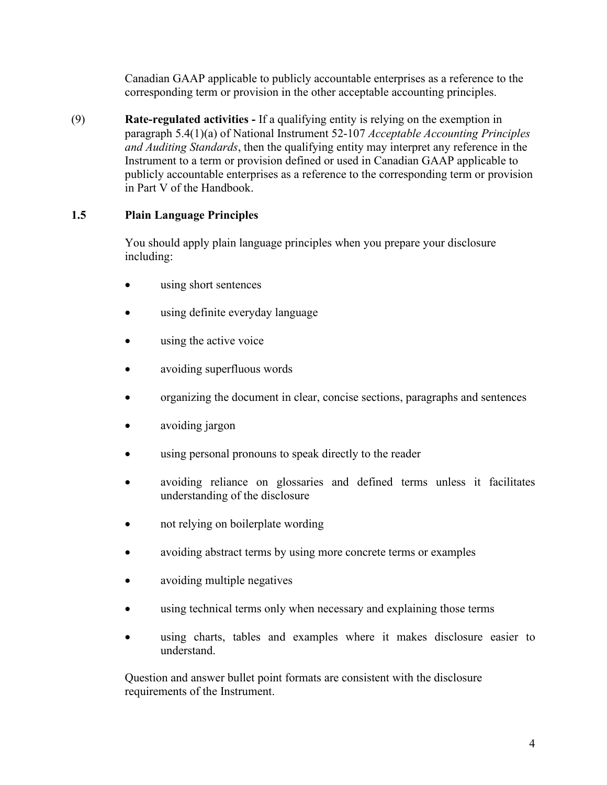Canadian GAAP applicable to publicly accountable enterprises as a reference to the corresponding term or provision in the other acceptable accounting principles.

(9) **Rate-regulated activities -** If a qualifying entity is relying on the exemption in paragraph 5.4(1)(a) of National Instrument 52-107 *Acceptable Accounting Principles and Auditing Standards*, then the qualifying entity may interpret any reference in the Instrument to a term or provision defined or used in Canadian GAAP applicable to publicly accountable enterprises as a reference to the corresponding term or provision in Part V of the Handbook.

# **1.5 Plain Language Principles**

You should apply plain language principles when you prepare your disclosure including:

- using short sentences
- using definite everyday language
- using the active voice
- avoiding superfluous words
- organizing the document in clear, concise sections, paragraphs and sentences
- avoiding jargon
- using personal pronouns to speak directly to the reader
- avoiding reliance on glossaries and defined terms unless it facilitates understanding of the disclosure
- not relying on boilerplate wording
- avoiding abstract terms by using more concrete terms or examples
- avoiding multiple negatives
- using technical terms only when necessary and explaining those terms
- using charts, tables and examples where it makes disclosure easier to understand.

Question and answer bullet point formats are consistent with the disclosure requirements of the Instrument.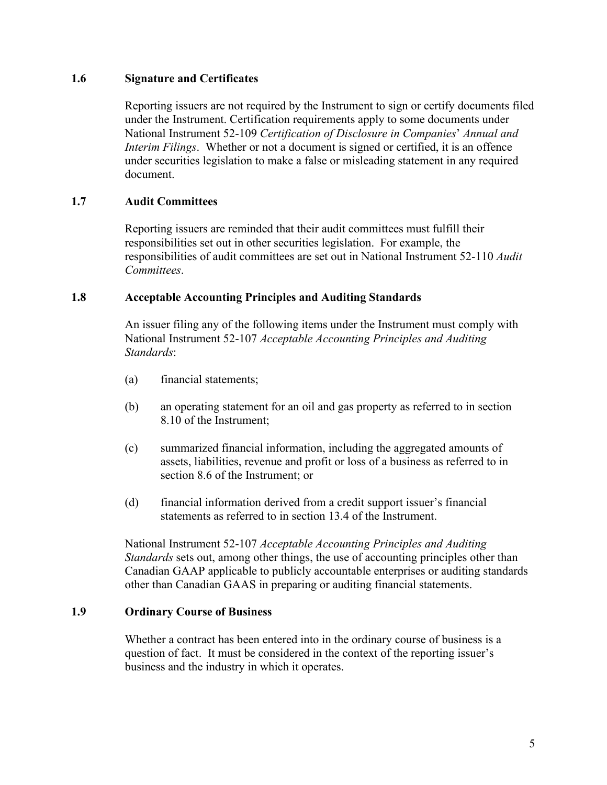### **1.6 Signature and Certificates**

Reporting issuers are not required by the Instrument to sign or certify documents filed under the Instrument. Certification requirements apply to some documents under National Instrument 52-109 *Certification of Disclosure in Companies*' *Annual and Interim Filings*. Whether or not a document is signed or certified, it is an offence under securities legislation to make a false or misleading statement in any required document.

### **1.7 Audit Committees**

Reporting issuers are reminded that their audit committees must fulfill their responsibilities set out in other securities legislation. For example, the responsibilities of audit committees are set out in National Instrument 52-110 *Audit Committees*.

### **1.8 Acceptable Accounting Principles and Auditing Standards**

An issuer filing any of the following items under the Instrument must comply with National Instrument 52-107 *Acceptable Accounting Principles and Auditing Standards*:

- (a) financial statements;
- (b) an operating statement for an oil and gas property as referred to in section 8.10 of the Instrument;
- (c) summarized financial information, including the aggregated amounts of assets, liabilities, revenue and profit or loss of a business as referred to in section 8.6 of the Instrument; or
- (d) financial information derived from a credit support issuer's financial statements as referred to in section 13.4 of the Instrument.

National Instrument 52-107 *Acceptable Accounting Principles and Auditing Standards* sets out, among other things, the use of accounting principles other than Canadian GAAP applicable to publicly accountable enterprises or auditing standards other than Canadian GAAS in preparing or auditing financial statements.

### **1.9 Ordinary Course of Business**

Whether a contract has been entered into in the ordinary course of business is a question of fact. It must be considered in the context of the reporting issuer's business and the industry in which it operates.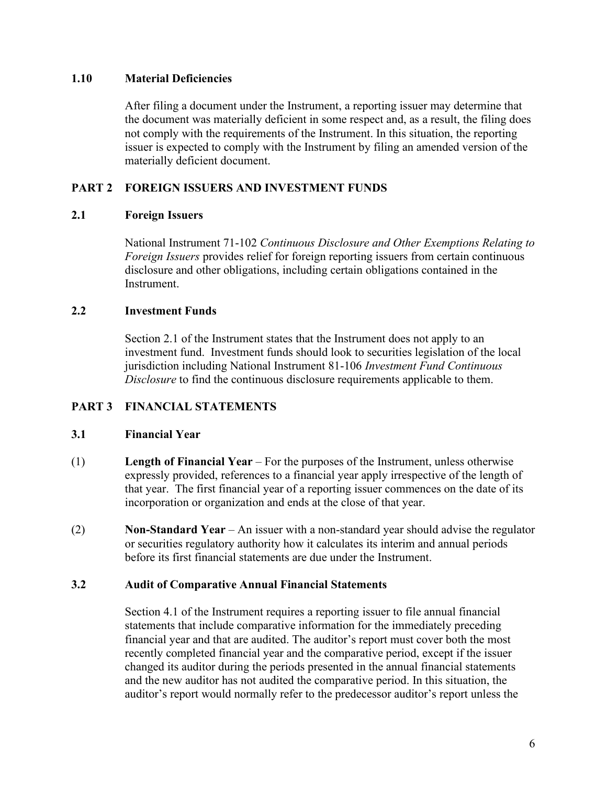### **1.10 Material Deficiencies**

After filing a document under the Instrument, a reporting issuer may determine that the document was materially deficient in some respect and, as a result, the filing does not comply with the requirements of the Instrument. In this situation, the reporting issuer is expected to comply with the Instrument by filing an amended version of the materially deficient document.

# **PART 2 FOREIGN ISSUERS AND INVESTMENT FUNDS**

### **2.1 Foreign Issuers**

National Instrument 71-102 *Continuous Disclosure and Other Exemptions Relating to Foreign Issuers* provides relief for foreign reporting issuers from certain continuous disclosure and other obligations, including certain obligations contained in the Instrument.

# **2.2 Investment Funds**

Section 2.1 of the Instrument states that the Instrument does not apply to an investment fund. Investment funds should look to securities legislation of the local jurisdiction including National Instrument 81-106 *Investment Fund Continuous Disclosure* to find the continuous disclosure requirements applicable to them.

# **PART 3 FINANCIAL STATEMENTS**

# **3.1 Financial Year**

- (1) **Length of Financial Year** For the purposes of the Instrument, unless otherwise expressly provided, references to a financial year apply irrespective of the length of that year. The first financial year of a reporting issuer commences on the date of its incorporation or organization and ends at the close of that year.
- (2) **Non-Standard Year** An issuer with a non-standard year should advise the regulator or securities regulatory authority how it calculates its interim and annual periods before its first financial statements are due under the Instrument.

### **3.2 Audit of Comparative Annual Financial Statements**

Section 4.1 of the Instrument requires a reporting issuer to file annual financial statements that include comparative information for the immediately preceding financial year and that are audited. The auditor's report must cover both the most recently completed financial year and the comparative period, except if the issuer changed its auditor during the periods presented in the annual financial statements and the new auditor has not audited the comparative period. In this situation, the auditor's report would normally refer to the predecessor auditor's report unless the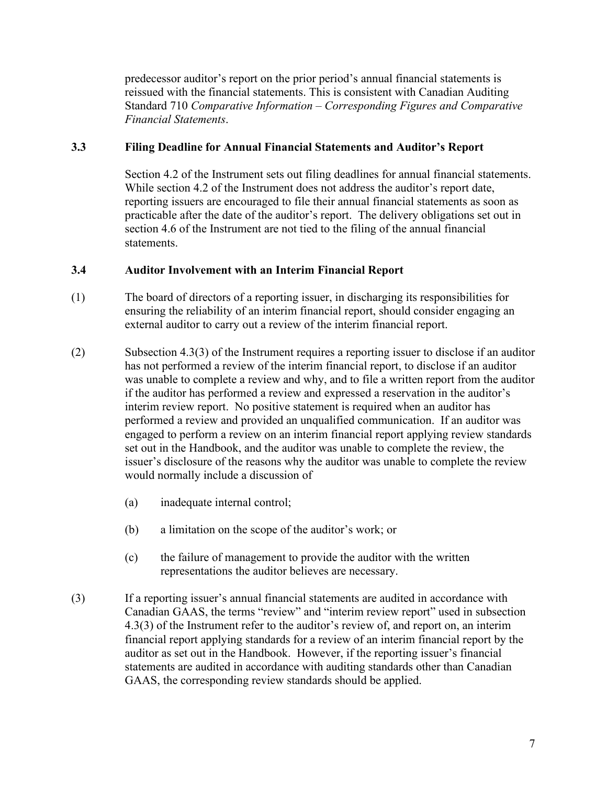predecessor auditor's report on the prior period's annual financial statements is reissued with the financial statements. This is consistent with Canadian Auditing Standard 710 *Comparative Information – Corresponding Figures and Comparative Financial Statements*.

# **3.3 Filing Deadline for Annual Financial Statements and Auditor's Report**

Section 4.2 of the Instrument sets out filing deadlines for annual financial statements. While section 4.2 of the Instrument does not address the auditor's report date, reporting issuers are encouraged to file their annual financial statements as soon as practicable after the date of the auditor's report. The delivery obligations set out in section 4.6 of the Instrument are not tied to the filing of the annual financial statements.

### **3.4 Auditor Involvement with an Interim Financial Report**

- (1) The board of directors of a reporting issuer, in discharging its responsibilities for ensuring the reliability of an interim financial report, should consider engaging an external auditor to carry out a review of the interim financial report.
- (2) Subsection 4.3(3) of the Instrument requires a reporting issuer to disclose if an auditor has not performed a review of the interim financial report, to disclose if an auditor was unable to complete a review and why, and to file a written report from the auditor if the auditor has performed a review and expressed a reservation in the auditor's interim review report. No positive statement is required when an auditor has performed a review and provided an unqualified communication. If an auditor was engaged to perform a review on an interim financial report applying review standards set out in the Handbook, and the auditor was unable to complete the review, the issuer's disclosure of the reasons why the auditor was unable to complete the review would normally include a discussion of
	- (a) inadequate internal control;
	- (b) a limitation on the scope of the auditor's work; or
	- (c) the failure of management to provide the auditor with the written representations the auditor believes are necessary.
- (3) If a reporting issuer's annual financial statements are audited in accordance with Canadian GAAS, the terms "review" and "interim review report" used in subsection 4.3(3) of the Instrument refer to the auditor's review of, and report on, an interim financial report applying standards for a review of an interim financial report by the auditor as set out in the Handbook. However, if the reporting issuer's financial statements are audited in accordance with auditing standards other than Canadian GAAS, the corresponding review standards should be applied.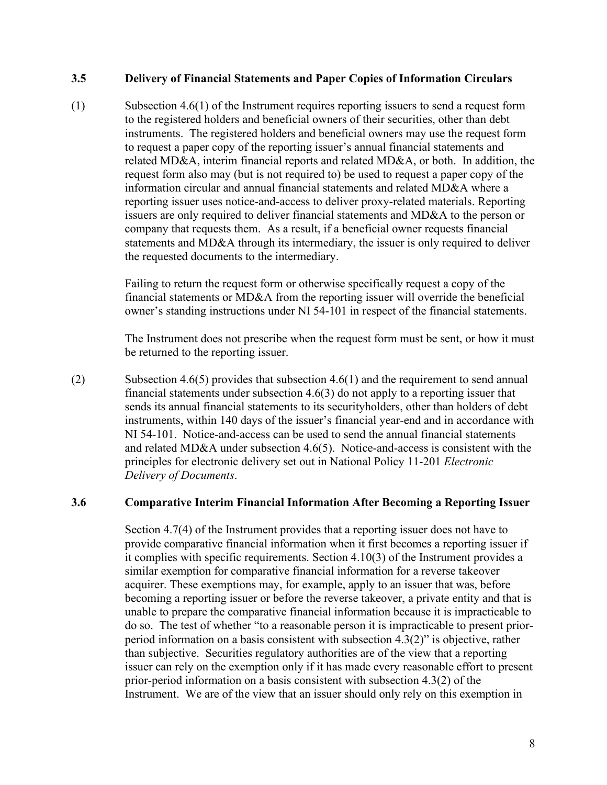#### **3.5 Delivery of Financial Statements and Paper Copies of Information Circulars**

(1) Subsection 4.6(1) of the Instrument requires reporting issuers to send a request form to the registered holders and beneficial owners of their securities, other than debt instruments. The registered holders and beneficial owners may use the request form to request a paper copy of the reporting issuer's annual financial statements and related MD&A, interim financial reports and related MD&A, or both. In addition, the request form also may (but is not required to) be used to request a paper copy of the information circular and annual financial statements and related MD&A where a reporting issuer uses notice-and-access to deliver proxy-related materials. Reporting issuers are only required to deliver financial statements and MD&A to the person or company that requests them. As a result, if a beneficial owner requests financial statements and MD&A through its intermediary, the issuer is only required to deliver the requested documents to the intermediary.

> Failing to return the request form or otherwise specifically request a copy of the financial statements or MD&A from the reporting issuer will override the beneficial owner's standing instructions under NI 54-101 in respect of the financial statements.

The Instrument does not prescribe when the request form must be sent, or how it must be returned to the reporting issuer.

(2) Subsection 4.6(5) provides that subsection 4.6(1) and the requirement to send annual financial statements under subsection 4.6(3) do not apply to a reporting issuer that sends its annual financial statements to its securityholders, other than holders of debt instruments, within 140 days of the issuer's financial year-end and in accordance with NI 54-101. Notice-and-access can be used to send the annual financial statements and related MD&A under subsection 4.6(5). Notice-and-access is consistent with the principles for electronic delivery set out in National Policy 11-201 *Electronic Delivery of Documents*.

### **3.6 Comparative Interim Financial Information After Becoming a Reporting Issuer**

Section 4.7(4) of the Instrument provides that a reporting issuer does not have to provide comparative financial information when it first becomes a reporting issuer if it complies with specific requirements. Section 4.10(3) of the Instrument provides a similar exemption for comparative financial information for a reverse takeover acquirer. These exemptions may, for example, apply to an issuer that was, before becoming a reporting issuer or before the reverse takeover, a private entity and that is unable to prepare the comparative financial information because it is impracticable to do so. The test of whether "to a reasonable person it is impracticable to present priorperiod information on a basis consistent with subsection 4.3(2)" is objective, rather than subjective. Securities regulatory authorities are of the view that a reporting issuer can rely on the exemption only if it has made every reasonable effort to present prior-period information on a basis consistent with subsection 4.3(2) of the Instrument. We are of the view that an issuer should only rely on this exemption in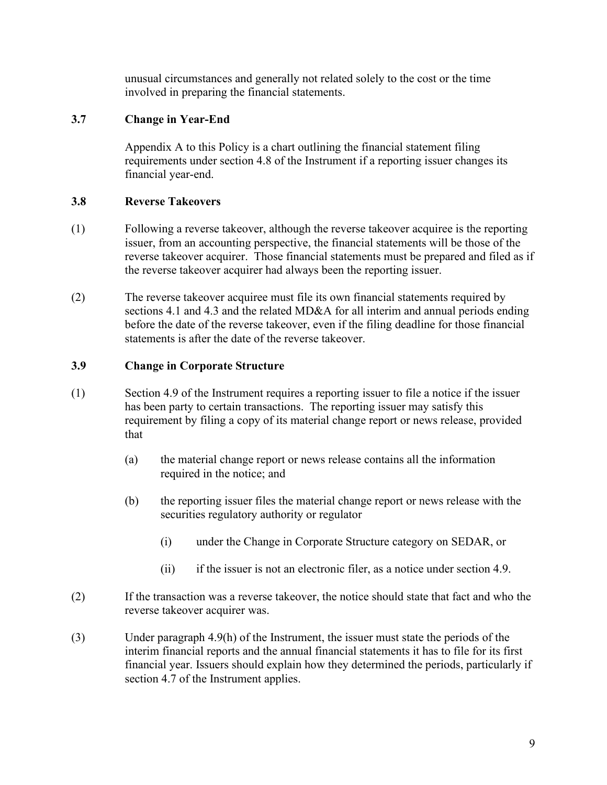unusual circumstances and generally not related solely to the cost or the time involved in preparing the financial statements.

# **3.7 Change in Year-End**

Appendix A to this Policy is a chart outlining the financial statement filing requirements under section 4.8 of the Instrument if a reporting issuer changes its financial year-end.

# **3.8 Reverse Takeovers**

- (1) Following a reverse takeover, although the reverse takeover acquiree is the reporting issuer, from an accounting perspective, the financial statements will be those of the reverse takeover acquirer. Those financial statements must be prepared and filed as if the reverse takeover acquirer had always been the reporting issuer.
- (2) The reverse takeover acquiree must file its own financial statements required by sections 4.1 and 4.3 and the related MD&A for all interim and annual periods ending before the date of the reverse takeover, even if the filing deadline for those financial statements is after the date of the reverse takeover.

# **3.9 Change in Corporate Structure**

- (1) Section 4.9 of the Instrument requires a reporting issuer to file a notice if the issuer has been party to certain transactions. The reporting issuer may satisfy this requirement by filing a copy of its material change report or news release, provided that
	- (a) the material change report or news release contains all the information required in the notice; and
	- (b) the reporting issuer files the material change report or news release with the securities regulatory authority or regulator
		- (i) under the Change in Corporate Structure category on SEDAR, or
		- (ii) if the issuer is not an electronic filer, as a notice under section 4.9.
- (2) If the transaction was a reverse takeover, the notice should state that fact and who the reverse takeover acquirer was.
- (3) Under paragraph 4.9(h) of the Instrument, the issuer must state the periods of the interim financial reports and the annual financial statements it has to file for its first financial year. Issuers should explain how they determined the periods, particularly if section 4.7 of the Instrument applies.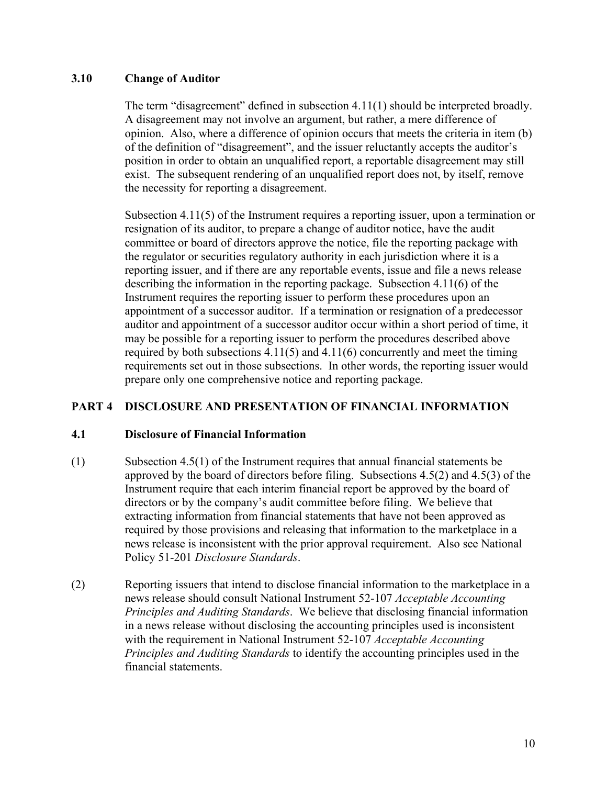### **3.10 Change of Auditor**

The term "disagreement" defined in subsection 4.11(1) should be interpreted broadly. A disagreement may not involve an argument, but rather, a mere difference of opinion. Also, where a difference of opinion occurs that meets the criteria in item (b) of the definition of "disagreement", and the issuer reluctantly accepts the auditor's position in order to obtain an unqualified report, a reportable disagreement may still exist. The subsequent rendering of an unqualified report does not, by itself, remove the necessity for reporting a disagreement.

Subsection 4.11(5) of the Instrument requires a reporting issuer, upon a termination or resignation of its auditor, to prepare a change of auditor notice, have the audit committee or board of directors approve the notice, file the reporting package with the regulator or securities regulatory authority in each jurisdiction where it is a reporting issuer, and if there are any reportable events, issue and file a news release describing the information in the reporting package. Subsection 4.11(6) of the Instrument requires the reporting issuer to perform these procedures upon an appointment of a successor auditor. If a termination or resignation of a predecessor auditor and appointment of a successor auditor occur within a short period of time, it may be possible for a reporting issuer to perform the procedures described above required by both subsections  $4.11(5)$  and  $4.11(6)$  concurrently and meet the timing requirements set out in those subsections. In other words, the reporting issuer would prepare only one comprehensive notice and reporting package.

# **PART 4 DISCLOSURE AND PRESENTATION OF FINANCIAL INFORMATION**

### **4.1 Disclosure of Financial Information**

- (1) Subsection 4.5(1) of the Instrument requires that annual financial statements be approved by the board of directors before filing. Subsections 4.5(2) and 4.5(3) of the Instrument require that each interim financial report be approved by the board of directors or by the company's audit committee before filing. We believe that extracting information from financial statements that have not been approved as required by those provisions and releasing that information to the marketplace in a news release is inconsistent with the prior approval requirement. Also see National Policy 51-201 *Disclosure Standards*.
- (2) Reporting issuers that intend to disclose financial information to the marketplace in a news release should consult National Instrument 52-107 *Acceptable Accounting Principles and Auditing Standards*. We believe that disclosing financial information in a news release without disclosing the accounting principles used is inconsistent with the requirement in National Instrument 52-107 *Acceptable Accounting Principles and Auditing Standards* to identify the accounting principles used in the financial statements.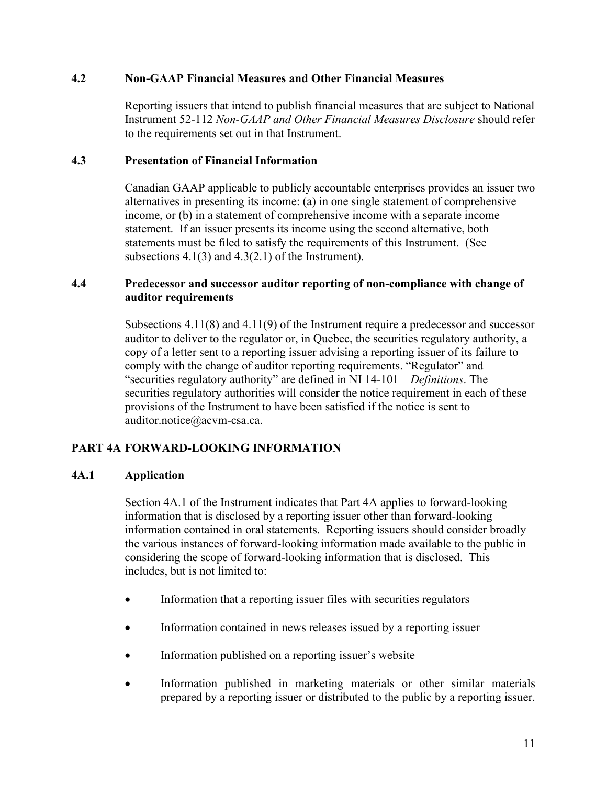# **4.2 Non-GAAP Financial Measures and Other Financial Measures**

Reporting issuers that intend to publish financial measures that are subject to National Instrument 52-112 *Non-GAAP and Other Financial Measures Disclosure* should refer to the requirements set out in that Instrument.

### **4.3 Presentation of Financial Information**

Canadian GAAP applicable to publicly accountable enterprises provides an issuer two alternatives in presenting its income: (a) in one single statement of comprehensive income, or (b) in a statement of comprehensive income with a separate income statement. If an issuer presents its income using the second alternative, both statements must be filed to satisfy the requirements of this Instrument. (See subsections 4.1(3) and 4.3(2.1) of the Instrument).

### **4.4 Predecessor and successor auditor reporting of non-compliance with change of auditor requirements**

Subsections 4.11(8) and 4.11(9) of the Instrument require a predecessor and successor auditor to deliver to the regulator or, in Quebec, the securities regulatory authority, a copy of a letter sent to a reporting issuer advising a reporting issuer of its failure to comply with the change of auditor reporting requirements. "Regulator" and "securities regulatory authority" are defined in NI 14-101 – *Definitions*. The securities regulatory authorities will consider the notice requirement in each of these provisions of the Instrument to have been satisfied if the notice is sent to auditor.notice@acvm-csa.ca.

# **PART 4A FORWARD-LOOKING INFORMATION**

# **4A.1 Application**

Section 4A.1 of the Instrument indicates that Part 4A applies to forward-looking information that is disclosed by a reporting issuer other than forward-looking information contained in oral statements. Reporting issuers should consider broadly the various instances of forward-looking information made available to the public in considering the scope of forward-looking information that is disclosed. This includes, but is not limited to:

- Information that a reporting issuer files with securities regulators
- Information contained in news releases issued by a reporting issuer
- Information published on a reporting issuer's website
- Information published in marketing materials or other similar materials prepared by a reporting issuer or distributed to the public by a reporting issuer.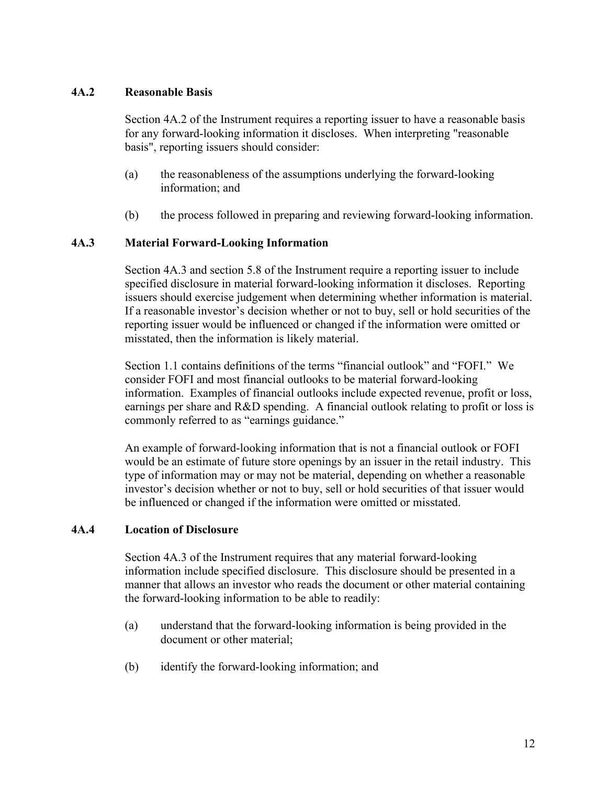### **4A.2 Reasonable Basis**

Section 4A.2 of the Instrument requires a reporting issuer to have a reasonable basis for any forward-looking information it discloses. When interpreting "reasonable basis", reporting issuers should consider:

- (a) the reasonableness of the assumptions underlying the forward-looking information; and
- (b) the process followed in preparing and reviewing forward-looking information.

### **4A.3 Material Forward-Looking Information**

Section 4A.3 and section 5.8 of the Instrument require a reporting issuer to include specified disclosure in material forward-looking information it discloses. Reporting issuers should exercise judgement when determining whether information is material. If a reasonable investor's decision whether or not to buy, sell or hold securities of the reporting issuer would be influenced or changed if the information were omitted or misstated, then the information is likely material.

Section 1.1 contains definitions of the terms "financial outlook" and "FOFI." We consider FOFI and most financial outlooks to be material forward-looking information. Examples of financial outlooks include expected revenue, profit or loss, earnings per share and R&D spending. A financial outlook relating to profit or loss is commonly referred to as "earnings guidance."

An example of forward-looking information that is not a financial outlook or FOFI would be an estimate of future store openings by an issuer in the retail industry. This type of information may or may not be material, depending on whether a reasonable investor's decision whether or not to buy, sell or hold securities of that issuer would be influenced or changed if the information were omitted or misstated.

### **4A.4 Location of Disclosure**

Section 4A.3 of the Instrument requires that any material forward-looking information include specified disclosure. This disclosure should be presented in a manner that allows an investor who reads the document or other material containing the forward-looking information to be able to readily:

- (a) understand that the forward-looking information is being provided in the document or other material;
- (b) identify the forward-looking information; and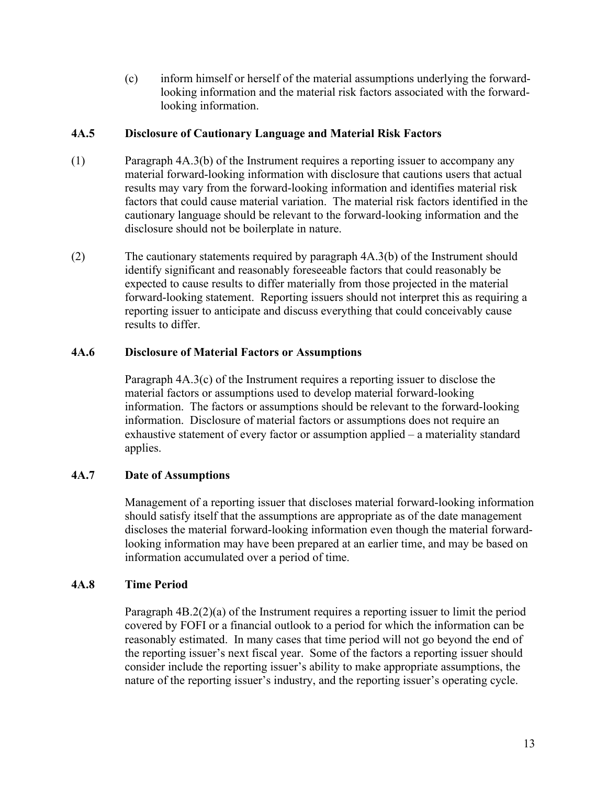(c) inform himself or herself of the material assumptions underlying the forwardlooking information and the material risk factors associated with the forwardlooking information.

### **4A.5 Disclosure of Cautionary Language and Material Risk Factors**

- (1) Paragraph 4A.3(b) of the Instrument requires a reporting issuer to accompany any material forward-looking information with disclosure that cautions users that actual results may vary from the forward-looking information and identifies material risk factors that could cause material variation. The material risk factors identified in the cautionary language should be relevant to the forward-looking information and the disclosure should not be boilerplate in nature.
- (2) The cautionary statements required by paragraph 4A.3(b) of the Instrument should identify significant and reasonably foreseeable factors that could reasonably be expected to cause results to differ materially from those projected in the material forward-looking statement. Reporting issuers should not interpret this as requiring a reporting issuer to anticipate and discuss everything that could conceivably cause results to differ.

# **4A.6 Disclosure of Material Factors or Assumptions**

Paragraph 4A.3(c) of the Instrument requires a reporting issuer to disclose the material factors or assumptions used to develop material forward-looking information. The factors or assumptions should be relevant to the forward-looking information. Disclosure of material factors or assumptions does not require an exhaustive statement of every factor or assumption applied – a materiality standard applies.

# **4A.7 Date of Assumptions**

Management of a reporting issuer that discloses material forward-looking information should satisfy itself that the assumptions are appropriate as of the date management discloses the material forward-looking information even though the material forwardlooking information may have been prepared at an earlier time, and may be based on information accumulated over a period of time.

# **4A.8 Time Period**

Paragraph 4B.2(2)(a) of the Instrument requires a reporting issuer to limit the period covered by FOFI or a financial outlook to a period for which the information can be reasonably estimated. In many cases that time period will not go beyond the end of the reporting issuer's next fiscal year. Some of the factors a reporting issuer should consider include the reporting issuer's ability to make appropriate assumptions, the nature of the reporting issuer's industry, and the reporting issuer's operating cycle.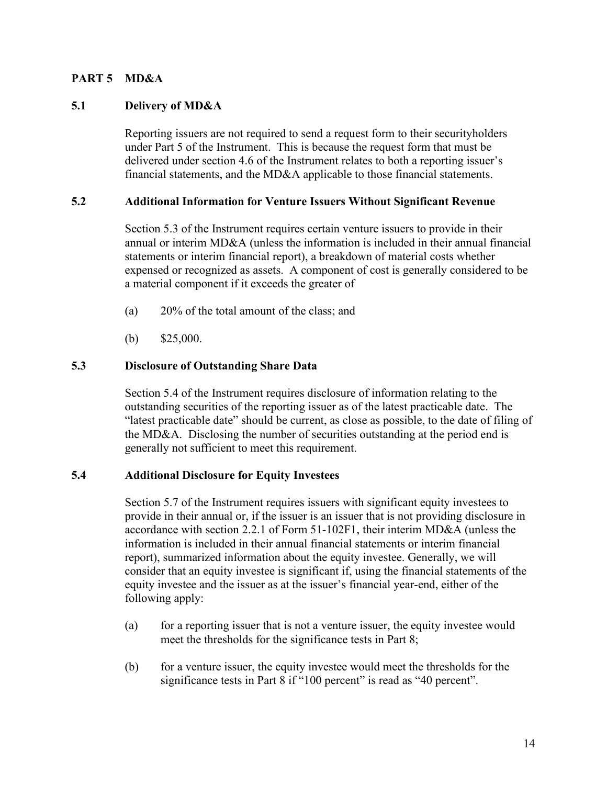### **PART 5 MD&A**

### **5.1 Delivery of MD&A**

Reporting issuers are not required to send a request form to their securityholders under Part 5 of the Instrument. This is because the request form that must be delivered under section 4.6 of the Instrument relates to both a reporting issuer's financial statements, and the MD&A applicable to those financial statements.

### **5.2 Additional Information for Venture Issuers Without Significant Revenue**

Section 5.3 of the Instrument requires certain venture issuers to provide in their annual or interim MD&A (unless the information is included in their annual financial statements or interim financial report), a breakdown of material costs whether expensed or recognized as assets. A component of cost is generally considered to be a material component if it exceeds the greater of

- (a) 20% of the total amount of the class; and
- (b) \$25,000.

### **5.3 Disclosure of Outstanding Share Data**

Section 5.4 of the Instrument requires disclosure of information relating to the outstanding securities of the reporting issuer as of the latest practicable date. The "latest practicable date" should be current, as close as possible, to the date of filing of the MD&A. Disclosing the number of securities outstanding at the period end is generally not sufficient to meet this requirement.

#### **5.4 Additional Disclosure for Equity Investees**

Section 5.7 of the Instrument requires issuers with significant equity investees to provide in their annual or, if the issuer is an issuer that is not providing disclosure in accordance with section 2.2.1 of Form 51-102F1, their interim MD&A (unless the information is included in their annual financial statements or interim financial report), summarized information about the equity investee. Generally, we will consider that an equity investee is significant if, using the financial statements of the equity investee and the issuer as at the issuer's financial year-end, either of the following apply:

- (a) for a reporting issuer that is not a venture issuer, the equity investee would meet the thresholds for the significance tests in Part 8;
- (b) for a venture issuer, the equity investee would meet the thresholds for the significance tests in Part 8 if "100 percent" is read as "40 percent".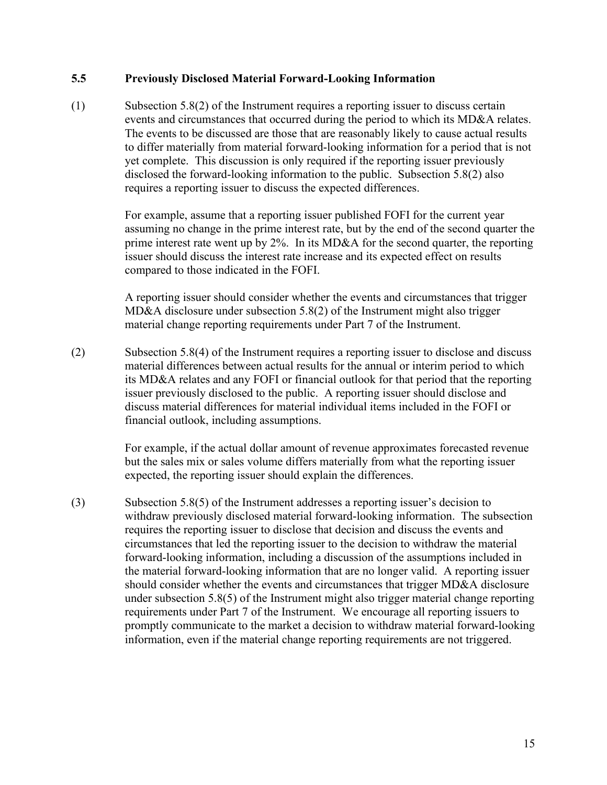#### **5.5 Previously Disclosed Material Forward-Looking Information**

(1) Subsection 5.8(2) of the Instrument requires a reporting issuer to discuss certain events and circumstances that occurred during the period to which its MD&A relates. The events to be discussed are those that are reasonably likely to cause actual results to differ materially from material forward-looking information for a period that is not yet complete. This discussion is only required if the reporting issuer previously disclosed the forward-looking information to the public. Subsection 5.8(2) also requires a reporting issuer to discuss the expected differences.

> For example, assume that a reporting issuer published FOFI for the current year assuming no change in the prime interest rate, but by the end of the second quarter the prime interest rate went up by 2%. In its MD&A for the second quarter, the reporting issuer should discuss the interest rate increase and its expected effect on results compared to those indicated in the FOFI.

A reporting issuer should consider whether the events and circumstances that trigger MD&A disclosure under subsection 5.8(2) of the Instrument might also trigger material change reporting requirements under Part 7 of the Instrument.

(2) Subsection 5.8(4) of the Instrument requires a reporting issuer to disclose and discuss material differences between actual results for the annual or interim period to which its MD&A relates and any FOFI or financial outlook for that period that the reporting issuer previously disclosed to the public. A reporting issuer should disclose and discuss material differences for material individual items included in the FOFI or financial outlook, including assumptions.

> For example, if the actual dollar amount of revenue approximates forecasted revenue but the sales mix or sales volume differs materially from what the reporting issuer expected, the reporting issuer should explain the differences.

(3) Subsection 5.8(5) of the Instrument addresses a reporting issuer's decision to withdraw previously disclosed material forward-looking information. The subsection requires the reporting issuer to disclose that decision and discuss the events and circumstances that led the reporting issuer to the decision to withdraw the material forward-looking information, including a discussion of the assumptions included in the material forward-looking information that are no longer valid. A reporting issuer should consider whether the events and circumstances that trigger MD&A disclosure under subsection 5.8(5) of the Instrument might also trigger material change reporting requirements under Part 7 of the Instrument. We encourage all reporting issuers to promptly communicate to the market a decision to withdraw material forward-looking information, even if the material change reporting requirements are not triggered.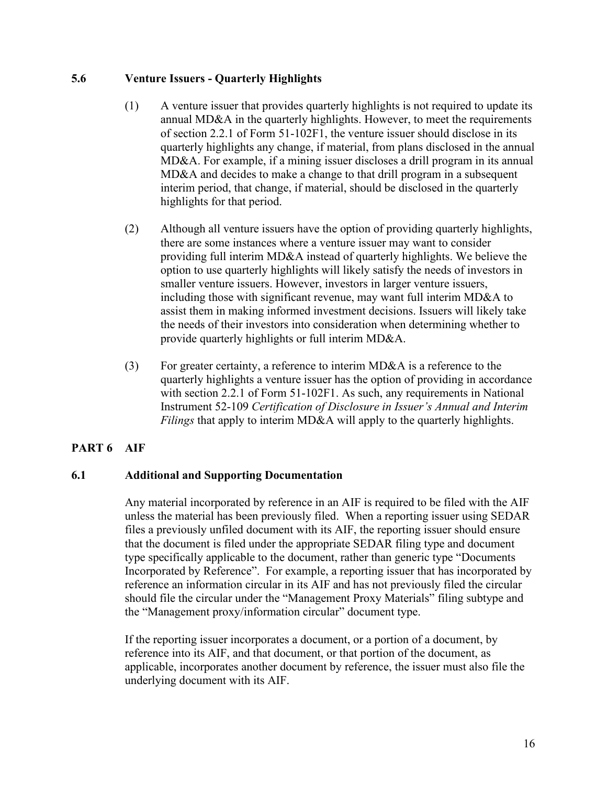### **5.6 Venture Issuers - Quarterly Highlights**

- (1) A venture issuer that provides quarterly highlights is not required to update its annual MD&A in the quarterly highlights. However, to meet the requirements of section 2.2.1 of Form 51-102F1, the venture issuer should disclose in its quarterly highlights any change, if material, from plans disclosed in the annual MD&A. For example, if a mining issuer discloses a drill program in its annual MD&A and decides to make a change to that drill program in a subsequent interim period, that change, if material, should be disclosed in the quarterly highlights for that period.
- (2) Although all venture issuers have the option of providing quarterly highlights, there are some instances where a venture issuer may want to consider providing full interim MD&A instead of quarterly highlights. We believe the option to use quarterly highlights will likely satisfy the needs of investors in smaller venture issuers. However, investors in larger venture issuers, including those with significant revenue, may want full interim MD&A to assist them in making informed investment decisions. Issuers will likely take the needs of their investors into consideration when determining whether to provide quarterly highlights or full interim MD&A.
- (3) For greater certainty, a reference to interim MD&A is a reference to the quarterly highlights a venture issuer has the option of providing in accordance with section 2.2.1 of Form 51-102F1. As such, any requirements in National Instrument 52-109 *Certification of Disclosure in Issuer's Annual and Interim Filings* that apply to interim MD&A will apply to the quarterly highlights.

# **PART 6 AIF**

### **6.1 Additional and Supporting Documentation**

Any material incorporated by reference in an AIF is required to be filed with the AIF unless the material has been previously filed. When a reporting issuer using SEDAR files a previously unfiled document with its AIF, the reporting issuer should ensure that the document is filed under the appropriate SEDAR filing type and document type specifically applicable to the document, rather than generic type "Documents Incorporated by Reference". For example, a reporting issuer that has incorporated by reference an information circular in its AIF and has not previously filed the circular should file the circular under the "Management Proxy Materials" filing subtype and the "Management proxy/information circular" document type.

If the reporting issuer incorporates a document, or a portion of a document, by reference into its AIF, and that document, or that portion of the document, as applicable, incorporates another document by reference, the issuer must also file the underlying document with its AIF.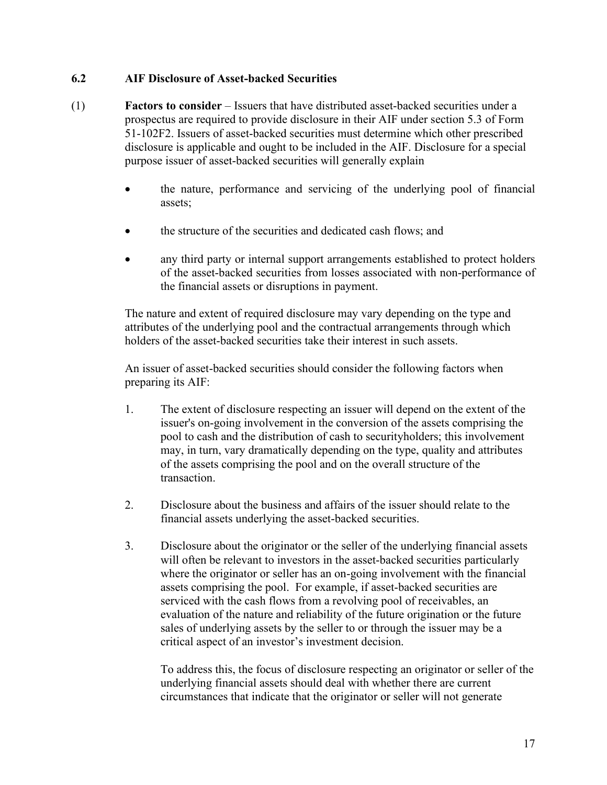# **6.2 AIF Disclosure of Asset-backed Securities**

- (1) **Factors to consider**  Issuers that have distributed asset-backed securities under a prospectus are required to provide disclosure in their AIF under section 5.3 of Form 51-102F2. Issuers of asset-backed securities must determine which other prescribed disclosure is applicable and ought to be included in the AIF. Disclosure for a special purpose issuer of asset-backed securities will generally explain
	- the nature, performance and servicing of the underlying pool of financial assets;
	- the structure of the securities and dedicated cash flows; and
	- any third party or internal support arrangements established to protect holders of the asset-backed securities from losses associated with non-performance of the financial assets or disruptions in payment.

The nature and extent of required disclosure may vary depending on the type and attributes of the underlying pool and the contractual arrangements through which holders of the asset-backed securities take their interest in such assets.

An issuer of asset-backed securities should consider the following factors when preparing its AIF:

- 1. The extent of disclosure respecting an issuer will depend on the extent of the issuer's on-going involvement in the conversion of the assets comprising the pool to cash and the distribution of cash to securityholders; this involvement may, in turn, vary dramatically depending on the type, quality and attributes of the assets comprising the pool and on the overall structure of the transaction.
- 2. Disclosure about the business and affairs of the issuer should relate to the financial assets underlying the asset-backed securities.
- 3. Disclosure about the originator or the seller of the underlying financial assets will often be relevant to investors in the asset-backed securities particularly where the originator or seller has an on-going involvement with the financial assets comprising the pool. For example, if asset-backed securities are serviced with the cash flows from a revolving pool of receivables, an evaluation of the nature and reliability of the future origination or the future sales of underlying assets by the seller to or through the issuer may be a critical aspect of an investor's investment decision.

To address this, the focus of disclosure respecting an originator or seller of the underlying financial assets should deal with whether there are current circumstances that indicate that the originator or seller will not generate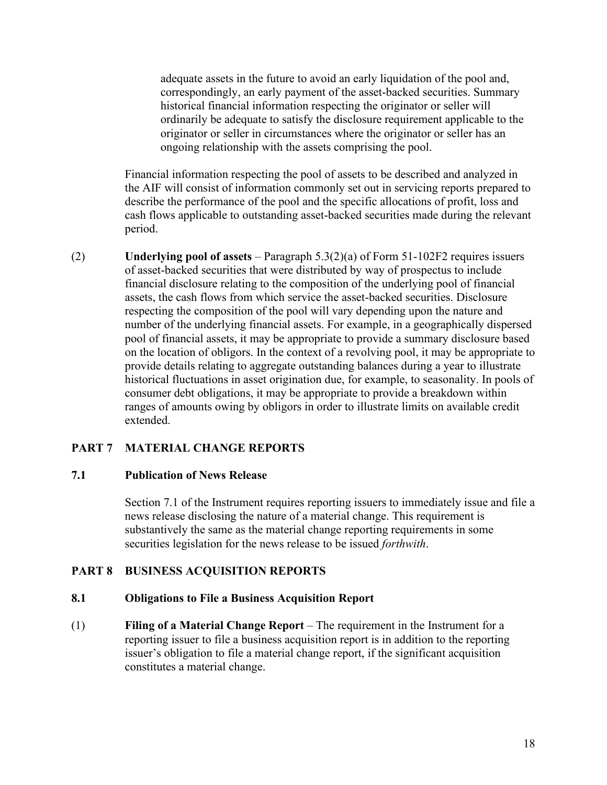adequate assets in the future to avoid an early liquidation of the pool and, correspondingly, an early payment of the asset-backed securities. Summary historical financial information respecting the originator or seller will ordinarily be adequate to satisfy the disclosure requirement applicable to the originator or seller in circumstances where the originator or seller has an ongoing relationship with the assets comprising the pool.

Financial information respecting the pool of assets to be described and analyzed in the AIF will consist of information commonly set out in servicing reports prepared to describe the performance of the pool and the specific allocations of profit, loss and cash flows applicable to outstanding asset-backed securities made during the relevant period.

(2) **Underlying pool of assets** – Paragraph 5.3(2)(a) of Form 51-102F2 requires issuers of asset-backed securities that were distributed by way of prospectus to include financial disclosure relating to the composition of the underlying pool of financial assets, the cash flows from which service the asset-backed securities. Disclosure respecting the composition of the pool will vary depending upon the nature and number of the underlying financial assets. For example, in a geographically dispersed pool of financial assets, it may be appropriate to provide a summary disclosure based on the location of obligors. In the context of a revolving pool, it may be appropriate to provide details relating to aggregate outstanding balances during a year to illustrate historical fluctuations in asset origination due, for example, to seasonality. In pools of consumer debt obligations, it may be appropriate to provide a breakdown within ranges of amounts owing by obligors in order to illustrate limits on available credit extended.

### **PART 7 MATERIAL CHANGE REPORTS**

#### **7.1 Publication of News Release**

Section 7.1 of the Instrument requires reporting issuers to immediately issue and file a news release disclosing the nature of a material change. This requirement is substantively the same as the material change reporting requirements in some securities legislation for the news release to be issued *forthwith*.

#### **PART 8 BUSINESS ACQUISITION REPORTS**

#### **8.1 Obligations to File a Business Acquisition Report**

(1) **Filing of a Material Change Report** – The requirement in the Instrument for a reporting issuer to file a business acquisition report is in addition to the reporting issuer's obligation to file a material change report, if the significant acquisition constitutes a material change.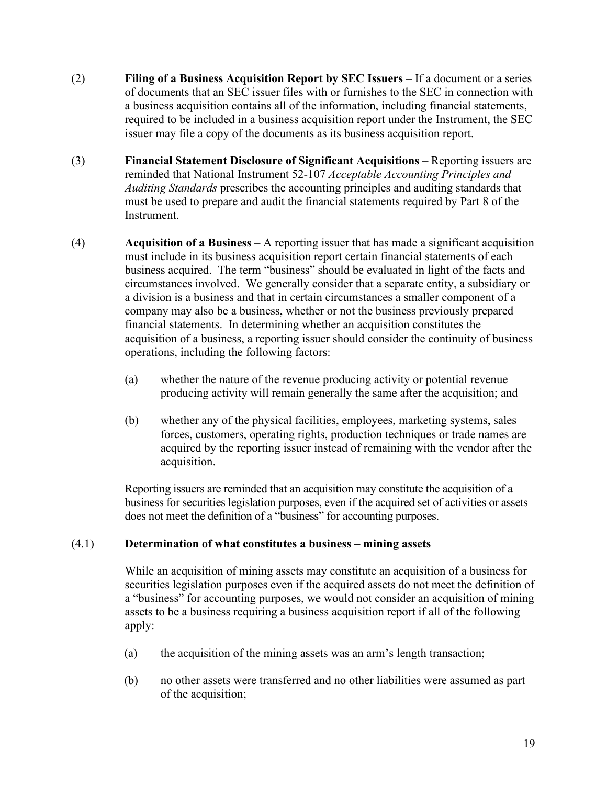- (2) **Filing of a Business Acquisition Report by SEC Issuers** If a document or a series of documents that an SEC issuer files with or furnishes to the SEC in connection with a business acquisition contains all of the information, including financial statements, required to be included in a business acquisition report under the Instrument, the SEC issuer may file a copy of the documents as its business acquisition report.
- (3) **Financial Statement Disclosure of Significant Acquisitions**  Reporting issuers are reminded that National Instrument 52-107 *Acceptable Accounting Principles and Auditing Standards* prescribes the accounting principles and auditing standards that must be used to prepare and audit the financial statements required by Part 8 of the Instrument.
- (4) **Acquisition of a Business** A reporting issuer that has made a significant acquisition must include in its business acquisition report certain financial statements of each business acquired. The term "business" should be evaluated in light of the facts and circumstances involved. We generally consider that a separate entity, a subsidiary or a division is a business and that in certain circumstances a smaller component of a company may also be a business, whether or not the business previously prepared financial statements. In determining whether an acquisition constitutes the acquisition of a business, a reporting issuer should consider the continuity of business operations, including the following factors:
	- (a) whether the nature of the revenue producing activity or potential revenue producing activity will remain generally the same after the acquisition; and
	- (b) whether any of the physical facilities, employees, marketing systems, sales forces, customers, operating rights, production techniques or trade names are acquired by the reporting issuer instead of remaining with the vendor after the acquisition.

Reporting issuers are reminded that an acquisition may constitute the acquisition of a business for securities legislation purposes, even if the acquired set of activities or assets does not meet the definition of a "business" for accounting purposes.

# (4.1) **Determination of what constitutes a business – mining assets**

While an acquisition of mining assets may constitute an acquisition of a business for securities legislation purposes even if the acquired assets do not meet the definition of a "business" for accounting purposes, we would not consider an acquisition of mining assets to be a business requiring a business acquisition report if all of the following apply:

- (a) the acquisition of the mining assets was an arm's length transaction;
- (b) no other assets were transferred and no other liabilities were assumed as part of the acquisition;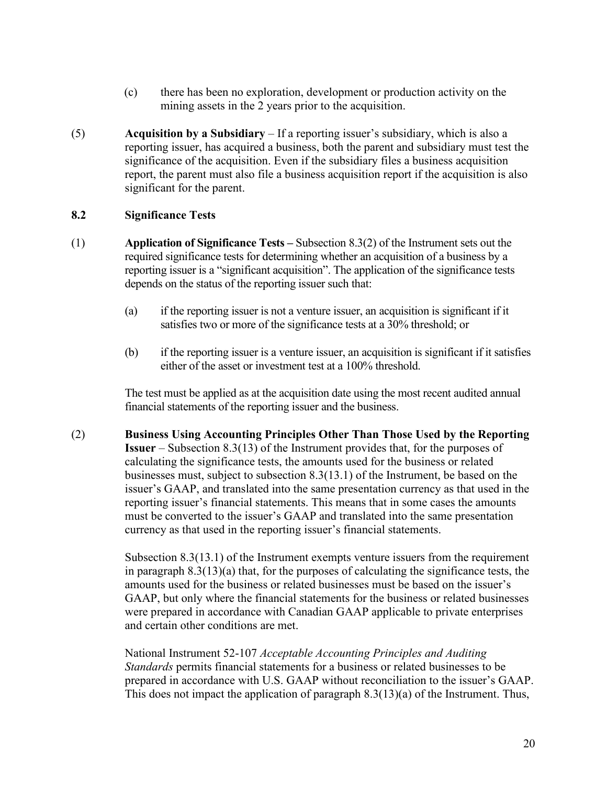- (c) there has been no exploration, development or production activity on the mining assets in the 2 years prior to the acquisition.
- (5) **Acquisition by a Subsidiary** If a reporting issuer's subsidiary, which is also a reporting issuer, has acquired a business, both the parent and subsidiary must test the significance of the acquisition. Even if the subsidiary files a business acquisition report, the parent must also file a business acquisition report if the acquisition is also significant for the parent.

# **8.2 Significance Tests**

- (1) **Application of Significance Tests –** Subsection 8.3(2) of the Instrument sets out the required significance tests for determining whether an acquisition of a business by a reporting issuer is a "significant acquisition". The application of the significance tests depends on the status of the reporting issuer such that:
	- (a) if the reporting issuer is not a venture issuer, an acquisition is significant if it satisfies two or more of the significance tests at a 30% threshold; or
	- (b) if the reporting issuer is a venture issuer, an acquisition is significant if it satisfies either of the asset or investment test at a 100% threshold.

The test must be applied as at the acquisition date using the most recent audited annual financial statements of the reporting issuer and the business.

(2) **Business Using Accounting Principles Other Than Those Used by the Reporting Issuer** – Subsection 8.3(13) of the Instrument provides that, for the purposes of calculating the significance tests, the amounts used for the business or related businesses must, subject to subsection 8.3(13.1) of the Instrument, be based on the issuer's GAAP, and translated into the same presentation currency as that used in the reporting issuer's financial statements. This means that in some cases the amounts must be converted to the issuer's GAAP and translated into the same presentation currency as that used in the reporting issuer's financial statements.

> Subsection 8.3(13.1) of the Instrument exempts venture issuers from the requirement in paragraph 8.3(13)(a) that, for the purposes of calculating the significance tests, the amounts used for the business or related businesses must be based on the issuer's GAAP, but only where the financial statements for the business or related businesses were prepared in accordance with Canadian GAAP applicable to private enterprises and certain other conditions are met.

> National Instrument 52-107 *Acceptable Accounting Principles and Auditing Standards* permits financial statements for a business or related businesses to be prepared in accordance with U.S. GAAP without reconciliation to the issuer's GAAP. This does not impact the application of paragraph 8.3(13)(a) of the Instrument. Thus,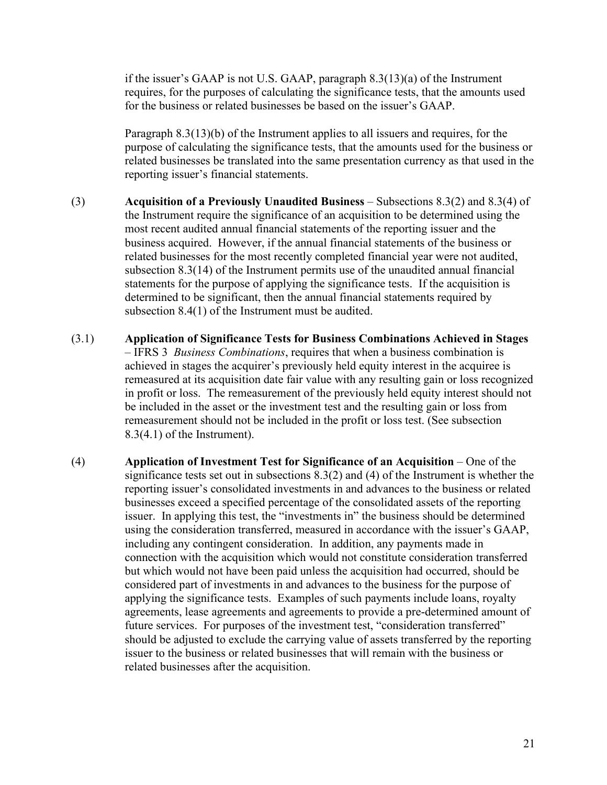if the issuer's GAAP is not U.S. GAAP, paragraph 8.3(13)(a) of the Instrument requires, for the purposes of calculating the significance tests, that the amounts used for the business or related businesses be based on the issuer's GAAP.

Paragraph 8.3(13)(b) of the Instrument applies to all issuers and requires, for the purpose of calculating the significance tests, that the amounts used for the business or related businesses be translated into the same presentation currency as that used in the reporting issuer's financial statements.

- (3) **Acquisition of a Previously Unaudited Business** Subsections 8.3(2) and 8.3(4) of the Instrument require the significance of an acquisition to be determined using the most recent audited annual financial statements of the reporting issuer and the business acquired. However, if the annual financial statements of the business or related businesses for the most recently completed financial year were not audited, subsection 8.3(14) of the Instrument permits use of the unaudited annual financial statements for the purpose of applying the significance tests. If the acquisition is determined to be significant, then the annual financial statements required by subsection 8.4(1) of the Instrument must be audited.
- (3.1) **Application of Significance Tests for Business Combinations Achieved in Stages** – IFRS 3 *Business Combinations*, requires that when a business combination is achieved in stages the acquirer's previously held equity interest in the acquiree is remeasured at its acquisition date fair value with any resulting gain or loss recognized in profit or loss. The remeasurement of the previously held equity interest should not be included in the asset or the investment test and the resulting gain or loss from remeasurement should not be included in the profit or loss test. (See subsection 8.3(4.1) of the Instrument).
- (4) **Application of Investment Test for Significance of an Acquisition** One of the significance tests set out in subsections 8.3(2) and (4) of the Instrument is whether the reporting issuer's consolidated investments in and advances to the business or related businesses exceed a specified percentage of the consolidated assets of the reporting issuer. In applying this test, the "investments in" the business should be determined using the consideration transferred, measured in accordance with the issuer's GAAP, including any contingent consideration. In addition, any payments made in connection with the acquisition which would not constitute consideration transferred but which would not have been paid unless the acquisition had occurred, should be considered part of investments in and advances to the business for the purpose of applying the significance tests. Examples of such payments include loans, royalty agreements, lease agreements and agreements to provide a pre-determined amount of future services. For purposes of the investment test, "consideration transferred" should be adjusted to exclude the carrying value of assets transferred by the reporting issuer to the business or related businesses that will remain with the business or related businesses after the acquisition.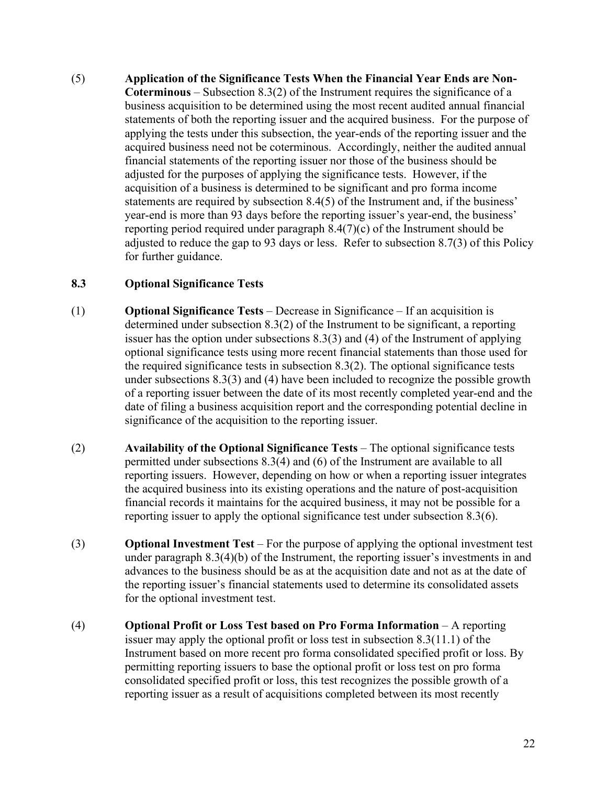(5) **Application of the Significance Tests When the Financial Year Ends are Non-Coterminous** – Subsection 8.3(2) of the Instrument requires the significance of a business acquisition to be determined using the most recent audited annual financial statements of both the reporting issuer and the acquired business. For the purpose of applying the tests under this subsection, the year-ends of the reporting issuer and the acquired business need not be coterminous. Accordingly, neither the audited annual financial statements of the reporting issuer nor those of the business should be adjusted for the purposes of applying the significance tests. However, if the acquisition of a business is determined to be significant and pro forma income statements are required by subsection 8.4(5) of the Instrument and, if the business' year-end is more than 93 days before the reporting issuer's year-end, the business' reporting period required under paragraph 8.4(7)(c) of the Instrument should be adjusted to reduce the gap to 93 days or less. Refer to subsection 8.7(3) of this Policy for further guidance.

# **8.3 Optional Significance Tests**

- (1) **Optional Significance Tests** Decrease in Significance If an acquisition is determined under subsection 8.3(2) of the Instrument to be significant, a reporting issuer has the option under subsections 8.3(3) and (4) of the Instrument of applying optional significance tests using more recent financial statements than those used for the required significance tests in subsection 8.3(2). The optional significance tests under subsections 8.3(3) and (4) have been included to recognize the possible growth of a reporting issuer between the date of its most recently completed year-end and the date of filing a business acquisition report and the corresponding potential decline in significance of the acquisition to the reporting issuer.
- (2) **Availability of the Optional Significance Tests** The optional significance tests permitted under subsections 8.3(4) and (6) of the Instrument are available to all reporting issuers. However, depending on how or when a reporting issuer integrates the acquired business into its existing operations and the nature of post-acquisition financial records it maintains for the acquired business, it may not be possible for a reporting issuer to apply the optional significance test under subsection 8.3(6).
- (3) **Optional Investment Test** For the purpose of applying the optional investment test under paragraph 8.3(4)(b) of the Instrument, the reporting issuer's investments in and advances to the business should be as at the acquisition date and not as at the date of the reporting issuer's financial statements used to determine its consolidated assets for the optional investment test.
- (4) **Optional Profit or Loss Test based on Pro Forma Information** A reporting issuer may apply the optional profit or loss test in subsection 8.3(11.1) of the Instrument based on more recent pro forma consolidated specified profit or loss. By permitting reporting issuers to base the optional profit or loss test on pro forma consolidated specified profit or loss, this test recognizes the possible growth of a reporting issuer as a result of acquisitions completed between its most recently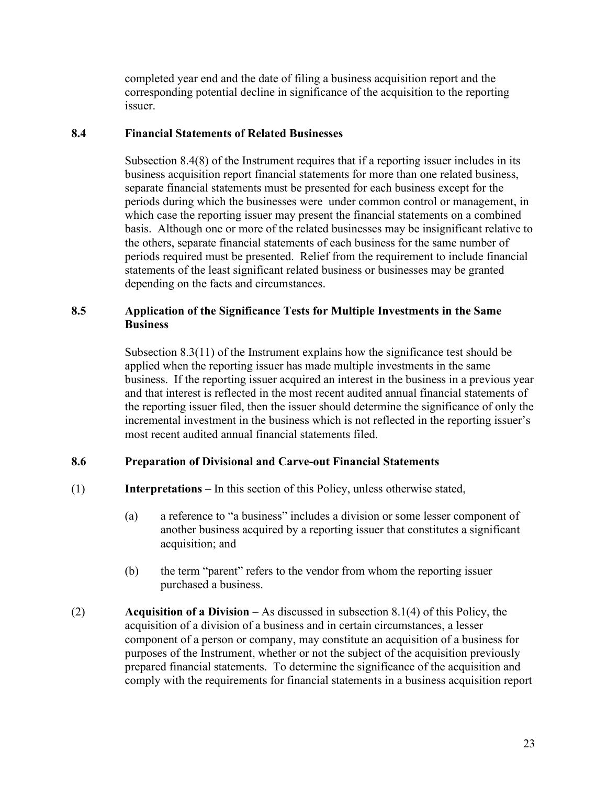completed year end and the date of filing a business acquisition report and the corresponding potential decline in significance of the acquisition to the reporting issuer.

### **8.4 Financial Statements of Related Businesses**

Subsection 8.4(8) of the Instrument requires that if a reporting issuer includes in its business acquisition report financial statements for more than one related business, separate financial statements must be presented for each business except for the periods during which the businesses were under common control or management, in which case the reporting issuer may present the financial statements on a combined basis. Although one or more of the related businesses may be insignificant relative to the others, separate financial statements of each business for the same number of periods required must be presented. Relief from the requirement to include financial statements of the least significant related business or businesses may be granted depending on the facts and circumstances.

# **8.5 Application of the Significance Tests for Multiple Investments in the Same Business**

Subsection 8.3(11) of the Instrument explains how the significance test should be applied when the reporting issuer has made multiple investments in the same business. If the reporting issuer acquired an interest in the business in a previous year and that interest is reflected in the most recent audited annual financial statements of the reporting issuer filed, then the issuer should determine the significance of only the incremental investment in the business which is not reflected in the reporting issuer's most recent audited annual financial statements filed.

# **8.6 Preparation of Divisional and Carve-out Financial Statements**

- (1) **Interpretations**  In this section of this Policy, unless otherwise stated,
	- (a) a reference to "a business" includes a division or some lesser component of another business acquired by a reporting issuer that constitutes a significant acquisition; and
	- (b) the term "parent" refers to the vendor from whom the reporting issuer purchased a business.
- (2) **Acquisition of a Division** As discussed in subsection 8.1(4) of this Policy, the acquisition of a division of a business and in certain circumstances, a lesser component of a person or company, may constitute an acquisition of a business for purposes of the Instrument, whether or not the subject of the acquisition previously prepared financial statements. To determine the significance of the acquisition and comply with the requirements for financial statements in a business acquisition report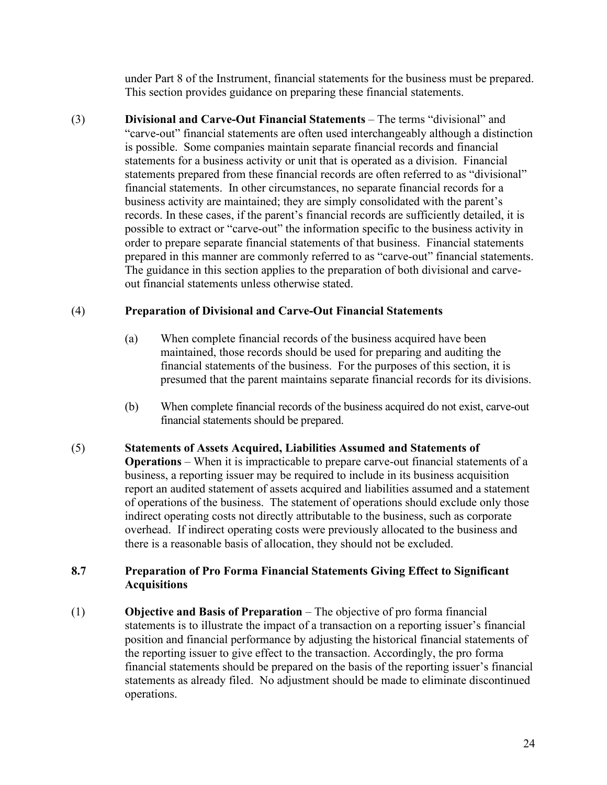under Part 8 of the Instrument, financial statements for the business must be prepared. This section provides guidance on preparing these financial statements.

(3) **Divisional and Carve-Out Financial Statements** – The terms "divisional" and "carve-out" financial statements are often used interchangeably although a distinction is possible. Some companies maintain separate financial records and financial statements for a business activity or unit that is operated as a division. Financial statements prepared from these financial records are often referred to as "divisional" financial statements. In other circumstances, no separate financial records for a business activity are maintained; they are simply consolidated with the parent's records. In these cases, if the parent's financial records are sufficiently detailed, it is possible to extract or "carve-out" the information specific to the business activity in order to prepare separate financial statements of that business. Financial statements prepared in this manner are commonly referred to as "carve-out" financial statements. The guidance in this section applies to the preparation of both divisional and carveout financial statements unless otherwise stated.

### (4) **Preparation of Divisional and Carve-Out Financial Statements**

- (a) When complete financial records of the business acquired have been maintained, those records should be used for preparing and auditing the financial statements of the business. For the purposes of this section, it is presumed that the parent maintains separate financial records for its divisions.
- (b) When complete financial records of the business acquired do not exist, carve-out financial statements should be prepared.
- (5) **Statements of Assets Acquired, Liabilities Assumed and Statements of Operations** – When it is impracticable to prepare carve-out financial statements of a business, a reporting issuer may be required to include in its business acquisition report an audited statement of assets acquired and liabilities assumed and a statement of operations of the business. The statement of operations should exclude only those indirect operating costs not directly attributable to the business, such as corporate overhead. If indirect operating costs were previously allocated to the business and there is a reasonable basis of allocation, they should not be excluded.

# **8.7 Preparation of Pro Forma Financial Statements Giving Effect to Significant Acquisitions**

(1) **Objective and Basis of Preparation** – The objective of pro forma financial statements is to illustrate the impact of a transaction on a reporting issuer's financial position and financial performance by adjusting the historical financial statements of the reporting issuer to give effect to the transaction. Accordingly, the pro forma financial statements should be prepared on the basis of the reporting issuer's financial statements as already filed. No adjustment should be made to eliminate discontinued operations.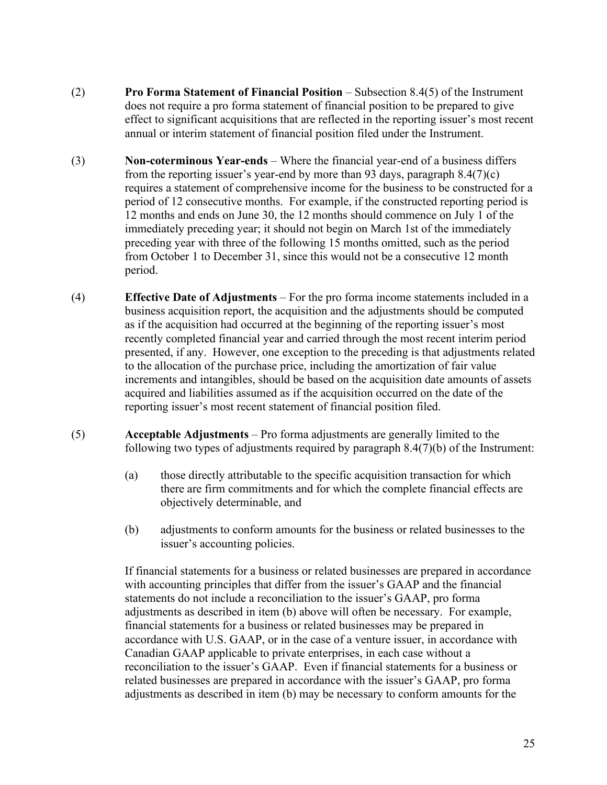- (2) **Pro Forma Statement of Financial Position** Subsection 8.4(5) of the Instrument does not require a pro forma statement of financial position to be prepared to give effect to significant acquisitions that are reflected in the reporting issuer's most recent annual or interim statement of financial position filed under the Instrument.
- (3) **Non-coterminous Year-ends** Where the financial year-end of a business differs from the reporting issuer's year-end by more than 93 days, paragraph  $8.4(7)(c)$ requires a statement of comprehensive income for the business to be constructed for a period of 12 consecutive months. For example, if the constructed reporting period is 12 months and ends on June 30, the 12 months should commence on July 1 of the immediately preceding year; it should not begin on March 1st of the immediately preceding year with three of the following 15 months omitted, such as the period from October 1 to December 31, since this would not be a consecutive 12 month period.
- (4) **Effective Date of Adjustments** For the pro forma income statements included in a business acquisition report, the acquisition and the adjustments should be computed as if the acquisition had occurred at the beginning of the reporting issuer's most recently completed financial year and carried through the most recent interim period presented, if any. However, one exception to the preceding is that adjustments related to the allocation of the purchase price, including the amortization of fair value increments and intangibles, should be based on the acquisition date amounts of assets acquired and liabilities assumed as if the acquisition occurred on the date of the reporting issuer's most recent statement of financial position filed.
- (5) **Acceptable Adjustments** Pro forma adjustments are generally limited to the following two types of adjustments required by paragraph 8.4(7)(b) of the Instrument:
	- (a) those directly attributable to the specific acquisition transaction for which there are firm commitments and for which the complete financial effects are objectively determinable, and
	- (b) adjustments to conform amounts for the business or related businesses to the issuer's accounting policies.

If financial statements for a business or related businesses are prepared in accordance with accounting principles that differ from the issuer's GAAP and the financial statements do not include a reconciliation to the issuer's GAAP, pro forma adjustments as described in item (b) above will often be necessary. For example, financial statements for a business or related businesses may be prepared in accordance with U.S. GAAP, or in the case of a venture issuer, in accordance with Canadian GAAP applicable to private enterprises, in each case without a reconciliation to the issuer's GAAP. Even if financial statements for a business or related businesses are prepared in accordance with the issuer's GAAP, pro forma adjustments as described in item (b) may be necessary to conform amounts for the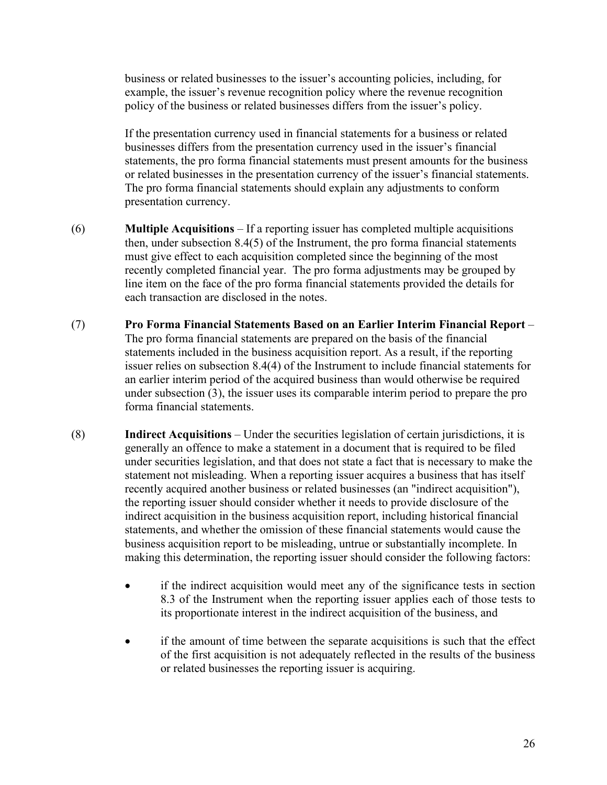business or related businesses to the issuer's accounting policies, including, for example, the issuer's revenue recognition policy where the revenue recognition policy of the business or related businesses differs from the issuer's policy.

If the presentation currency used in financial statements for a business or related businesses differs from the presentation currency used in the issuer's financial statements, the pro forma financial statements must present amounts for the business or related businesses in the presentation currency of the issuer's financial statements. The pro forma financial statements should explain any adjustments to conform presentation currency.

- (6) **Multiple Acquisitions** If a reporting issuer has completed multiple acquisitions then, under subsection 8.4(5) of the Instrument, the pro forma financial statements must give effect to each acquisition completed since the beginning of the most recently completed financial year. The pro forma adjustments may be grouped by line item on the face of the pro forma financial statements provided the details for each transaction are disclosed in the notes.
- (7) **Pro Forma Financial Statements Based on an Earlier Interim Financial Report** The pro forma financial statements are prepared on the basis of the financial statements included in the business acquisition report. As a result, if the reporting issuer relies on subsection 8.4(4) of the Instrument to include financial statements for an earlier interim period of the acquired business than would otherwise be required under subsection (3), the issuer uses its comparable interim period to prepare the pro forma financial statements.
- (8) **Indirect Acquisitions** Under the securities legislation of certain jurisdictions, it is generally an offence to make a statement in a document that is required to be filed under securities legislation, and that does not state a fact that is necessary to make the statement not misleading. When a reporting issuer acquires a business that has itself recently acquired another business or related businesses (an "indirect acquisition"), the reporting issuer should consider whether it needs to provide disclosure of the indirect acquisition in the business acquisition report, including historical financial statements, and whether the omission of these financial statements would cause the business acquisition report to be misleading, untrue or substantially incomplete. In making this determination, the reporting issuer should consider the following factors:
	- if the indirect acquisition would meet any of the significance tests in section 8.3 of the Instrument when the reporting issuer applies each of those tests to its proportionate interest in the indirect acquisition of the business, and
	- if the amount of time between the separate acquisitions is such that the effect of the first acquisition is not adequately reflected in the results of the business or related businesses the reporting issuer is acquiring.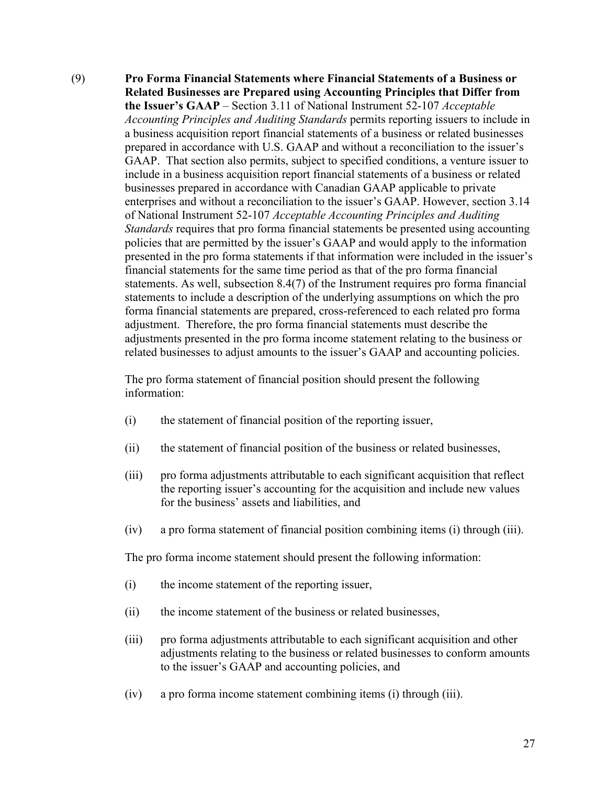(9) **Pro Forma Financial Statements where Financial Statements of a Business or Related Businesses are Prepared using Accounting Principles that Differ from the Issuer's GAAP** – Section 3.11 of National Instrument 52-107 *Acceptable Accounting Principles and Auditing Standards* permits reporting issuers to include in a business acquisition report financial statements of a business or related businesses prepared in accordance with U.S. GAAP and without a reconciliation to the issuer's GAAP. That section also permits, subject to specified conditions, a venture issuer to include in a business acquisition report financial statements of a business or related businesses prepared in accordance with Canadian GAAP applicable to private enterprises and without a reconciliation to the issuer's GAAP. However, section 3.14 of National Instrument 52-107 *Acceptable Accounting Principles and Auditing Standards* requires that pro forma financial statements be presented using accounting policies that are permitted by the issuer's GAAP and would apply to the information presented in the pro forma statements if that information were included in the issuer's financial statements for the same time period as that of the pro forma financial statements. As well, subsection 8.4(7) of the Instrument requires pro forma financial statements to include a description of the underlying assumptions on which the pro forma financial statements are prepared, cross-referenced to each related pro forma adjustment. Therefore, the pro forma financial statements must describe the adjustments presented in the pro forma income statement relating to the business or related businesses to adjust amounts to the issuer's GAAP and accounting policies.

> The pro forma statement of financial position should present the following information:

- (i) the statement of financial position of the reporting issuer,
- (ii) the statement of financial position of the business or related businesses,
- (iii) pro forma adjustments attributable to each significant acquisition that reflect the reporting issuer's accounting for the acquisition and include new values for the business' assets and liabilities, and
- (iv) a pro forma statement of financial position combining items (i) through (iii).

The pro forma income statement should present the following information:

- (i) the income statement of the reporting issuer,
- (ii) the income statement of the business or related businesses,
- (iii) pro forma adjustments attributable to each significant acquisition and other adjustments relating to the business or related businesses to conform amounts to the issuer's GAAP and accounting policies, and
- (iv) a pro forma income statement combining items (i) through (iii).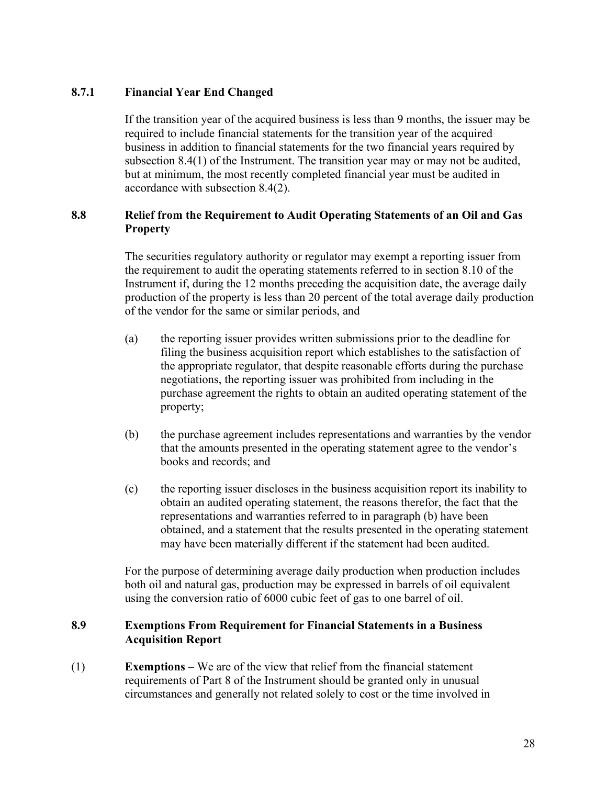# **8.7.1 Financial Year End Changed**

If the transition year of the acquired business is less than 9 months, the issuer may be required to include financial statements for the transition year of the acquired business in addition to financial statements for the two financial years required by subsection 8.4(1) of the Instrument. The transition year may or may not be audited, but at minimum, the most recently completed financial year must be audited in accordance with subsection 8.4(2).

# **8.8 Relief from the Requirement to Audit Operating Statements of an Oil and Gas Property**

The securities regulatory authority or regulator may exempt a reporting issuer from the requirement to audit the operating statements referred to in section 8.10 of the Instrument if, during the 12 months preceding the acquisition date, the average daily production of the property is less than 20 percent of the total average daily production of the vendor for the same or similar periods, and

- (a) the reporting issuer provides written submissions prior to the deadline for filing the business acquisition report which establishes to the satisfaction of the appropriate regulator, that despite reasonable efforts during the purchase negotiations, the reporting issuer was prohibited from including in the purchase agreement the rights to obtain an audited operating statement of the property;
- (b) the purchase agreement includes representations and warranties by the vendor that the amounts presented in the operating statement agree to the vendor's books and records; and
- (c) the reporting issuer discloses in the business acquisition report its inability to obtain an audited operating statement, the reasons therefor, the fact that the representations and warranties referred to in paragraph (b) have been obtained, and a statement that the results presented in the operating statement may have been materially different if the statement had been audited.

For the purpose of determining average daily production when production includes both oil and natural gas, production may be expressed in barrels of oil equivalent using the conversion ratio of 6000 cubic feet of gas to one barrel of oil.

### **8.9 Exemptions From Requirement for Financial Statements in a Business Acquisition Report**

(1) **Exemptions** – We are of the view that relief from the financial statement requirements of Part 8 of the Instrument should be granted only in unusual circumstances and generally not related solely to cost or the time involved in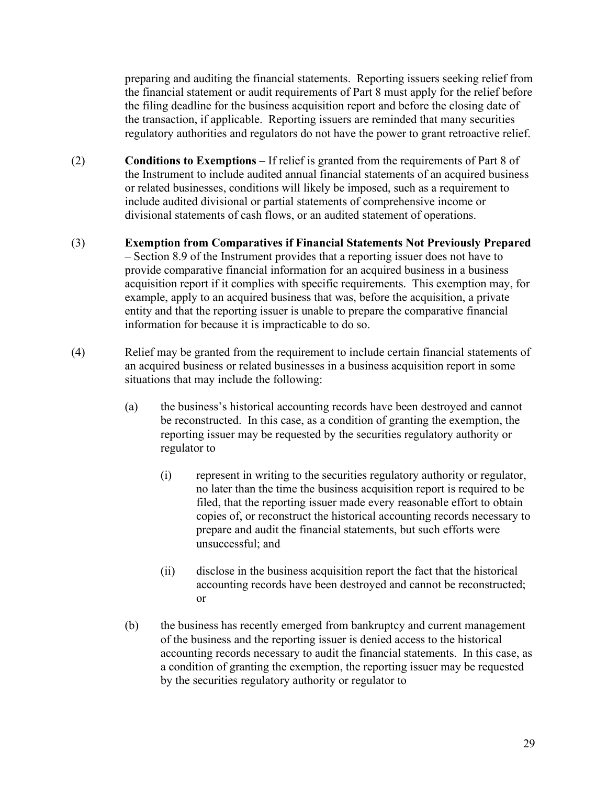preparing and auditing the financial statements. Reporting issuers seeking relief from the financial statement or audit requirements of Part 8 must apply for the relief before the filing deadline for the business acquisition report and before the closing date of the transaction, if applicable. Reporting issuers are reminded that many securities regulatory authorities and regulators do not have the power to grant retroactive relief.

- (2) **Conditions to Exemptions** If relief is granted from the requirements of Part 8 of the Instrument to include audited annual financial statements of an acquired business or related businesses, conditions will likely be imposed, such as a requirement to include audited divisional or partial statements of comprehensive income or divisional statements of cash flows, or an audited statement of operations.
- (3) **Exemption from Comparatives if Financial Statements Not Previously Prepared** – Section 8.9 of the Instrument provides that a reporting issuer does not have to provide comparative financial information for an acquired business in a business acquisition report if it complies with specific requirements. This exemption may, for example, apply to an acquired business that was, before the acquisition, a private entity and that the reporting issuer is unable to prepare the comparative financial information for because it is impracticable to do so.
- (4) Relief may be granted from the requirement to include certain financial statements of an acquired business or related businesses in a business acquisition report in some situations that may include the following:
	- (a) the business's historical accounting records have been destroyed and cannot be reconstructed. In this case, as a condition of granting the exemption, the reporting issuer may be requested by the securities regulatory authority or regulator to
		- (i) represent in writing to the securities regulatory authority or regulator, no later than the time the business acquisition report is required to be filed, that the reporting issuer made every reasonable effort to obtain copies of, or reconstruct the historical accounting records necessary to prepare and audit the financial statements, but such efforts were unsuccessful; and
		- (ii) disclose in the business acquisition report the fact that the historical accounting records have been destroyed and cannot be reconstructed; or
	- (b) the business has recently emerged from bankruptcy and current management of the business and the reporting issuer is denied access to the historical accounting records necessary to audit the financial statements. In this case, as a condition of granting the exemption, the reporting issuer may be requested by the securities regulatory authority or regulator to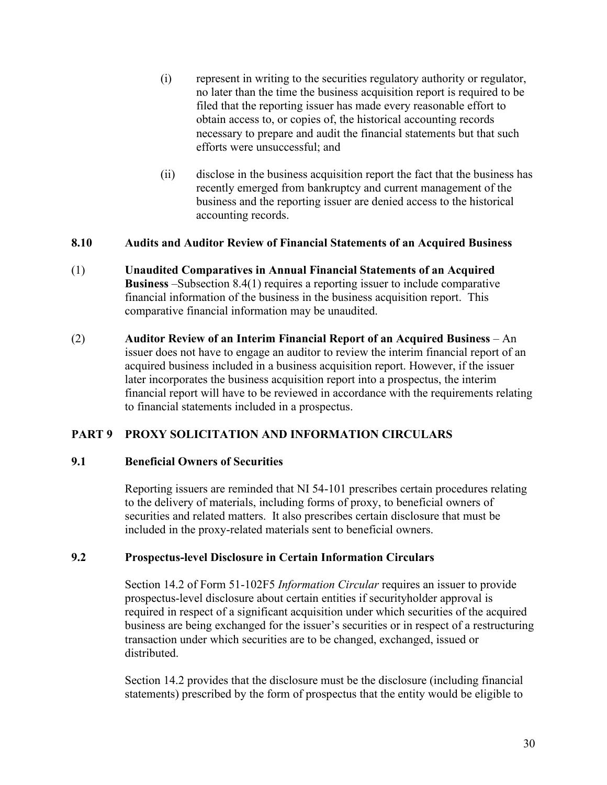- (i) represent in writing to the securities regulatory authority or regulator, no later than the time the business acquisition report is required to be filed that the reporting issuer has made every reasonable effort to obtain access to, or copies of, the historical accounting records necessary to prepare and audit the financial statements but that such efforts were unsuccessful; and
- (ii) disclose in the business acquisition report the fact that the business has recently emerged from bankruptcy and current management of the business and the reporting issuer are denied access to the historical accounting records.

### **8.10 Audits and Auditor Review of Financial Statements of an Acquired Business**

- (1) **Unaudited Comparatives in Annual Financial Statements of an Acquired Business** –Subsection 8.4(1) requires a reporting issuer to include comparative financial information of the business in the business acquisition report. This comparative financial information may be unaudited.
- (2) **Auditor Review of an Interim Financial Report of an Acquired Business** An issuer does not have to engage an auditor to review the interim financial report of an acquired business included in a business acquisition report. However, if the issuer later incorporates the business acquisition report into a prospectus, the interim financial report will have to be reviewed in accordance with the requirements relating to financial statements included in a prospectus.

# **PART 9 PROXY SOLICITATION AND INFORMATION CIRCULARS**

### **9.1 Beneficial Owners of Securities**

Reporting issuers are reminded that NI 54-101 prescribes certain procedures relating to the delivery of materials, including forms of proxy, to beneficial owners of securities and related matters. It also prescribes certain disclosure that must be included in the proxy-related materials sent to beneficial owners.

### **9.2 Prospectus-level Disclosure in Certain Information Circulars**

Section 14.2 of Form 51-102F5 *Information Circular* requires an issuer to provide prospectus-level disclosure about certain entities if securityholder approval is required in respect of a significant acquisition under which securities of the acquired business are being exchanged for the issuer's securities or in respect of a restructuring transaction under which securities are to be changed, exchanged, issued or distributed.

Section 14.2 provides that the disclosure must be the disclosure (including financial statements) prescribed by the form of prospectus that the entity would be eligible to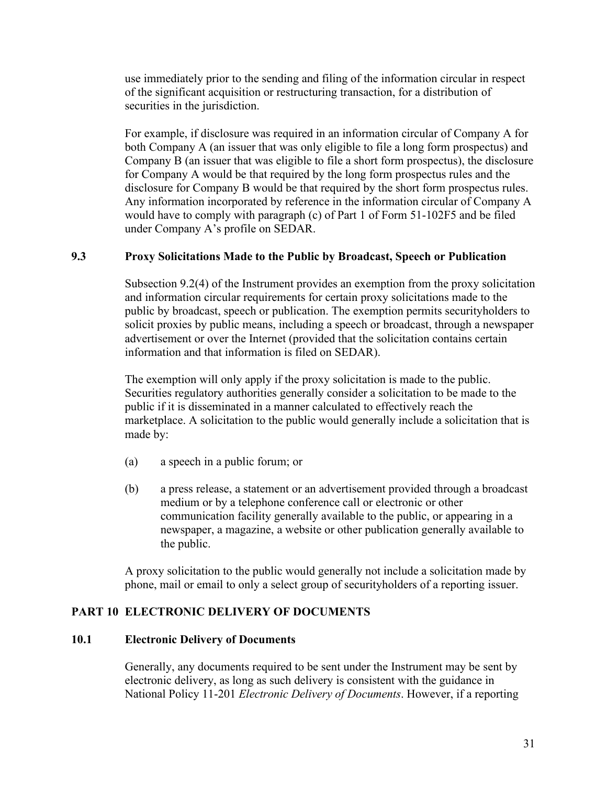use immediately prior to the sending and filing of the information circular in respect of the significant acquisition or restructuring transaction, for a distribution of securities in the jurisdiction.

For example, if disclosure was required in an information circular of Company A for both Company A (an issuer that was only eligible to file a long form prospectus) and Company B (an issuer that was eligible to file a short form prospectus), the disclosure for Company A would be that required by the long form prospectus rules and the disclosure for Company B would be that required by the short form prospectus rules. Any information incorporated by reference in the information circular of Company A would have to comply with paragraph (c) of Part 1 of Form 51-102F5 and be filed under Company A's profile on SEDAR.

# **9.3 Proxy Solicitations Made to the Public by Broadcast, Speech or Publication**

Subsection 9.2(4) of the Instrument provides an exemption from the proxy solicitation and information circular requirements for certain proxy solicitations made to the public by broadcast, speech or publication. The exemption permits securityholders to solicit proxies by public means, including a speech or broadcast, through a newspaper advertisement or over the Internet (provided that the solicitation contains certain information and that information is filed on SEDAR).

The exemption will only apply if the proxy solicitation is made to the public. Securities regulatory authorities generally consider a solicitation to be made to the public if it is disseminated in a manner calculated to effectively reach the marketplace. A solicitation to the public would generally include a solicitation that is made by:

- (a) a speech in a public forum; or
- (b) a press release, a statement or an advertisement provided through a broadcast medium or by a telephone conference call or electronic or other communication facility generally available to the public, or appearing in a newspaper, a magazine, a website or other publication generally available to the public.

A proxy solicitation to the public would generally not include a solicitation made by phone, mail or email to only a select group of securityholders of a reporting issuer.

# **PART 10 ELECTRONIC DELIVERY OF DOCUMENTS**

### **10.1 Electronic Delivery of Documents**

Generally, any documents required to be sent under the Instrument may be sent by electronic delivery, as long as such delivery is consistent with the guidance in National Policy 11-201 *Electronic Delivery of Documents*. However, if a reporting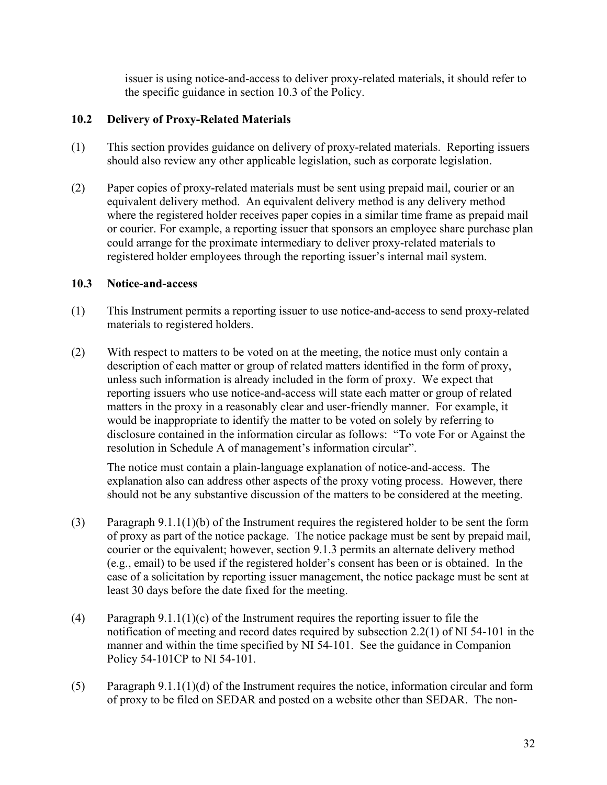issuer is using notice-and-access to deliver proxy-related materials, it should refer to the specific guidance in section 10.3 of the Policy.

# **10.2 Delivery of Proxy-Related Materials**

- (1) This section provides guidance on delivery of proxy-related materials. Reporting issuers should also review any other applicable legislation, such as corporate legislation.
- (2) Paper copies of proxy-related materials must be sent using prepaid mail, courier or an equivalent delivery method. An equivalent delivery method is any delivery method where the registered holder receives paper copies in a similar time frame as prepaid mail or courier. For example, a reporting issuer that sponsors an employee share purchase plan could arrange for the proximate intermediary to deliver proxy-related materials to registered holder employees through the reporting issuer's internal mail system.

# **10.3 Notice-and-access**

- (1) This Instrument permits a reporting issuer to use notice-and-access to send proxy-related materials to registered holders.
- (2) With respect to matters to be voted on at the meeting, the notice must only contain a description of each matter or group of related matters identified in the form of proxy, unless such information is already included in the form of proxy. We expect that reporting issuers who use notice-and-access will state each matter or group of related matters in the proxy in a reasonably clear and user-friendly manner. For example, it would be inappropriate to identify the matter to be voted on solely by referring to disclosure contained in the information circular as follows: "To vote For or Against the resolution in Schedule A of management's information circular".

The notice must contain a plain-language explanation of notice-and-access. The explanation also can address other aspects of the proxy voting process. However, there should not be any substantive discussion of the matters to be considered at the meeting.

- (3) Paragraph 9.1.1(1)(b) of the Instrument requires the registered holder to be sent the form of proxy as part of the notice package. The notice package must be sent by prepaid mail, courier or the equivalent; however, section 9.1.3 permits an alternate delivery method (e.g., email) to be used if the registered holder's consent has been or is obtained. In the case of a solicitation by reporting issuer management, the notice package must be sent at least 30 days before the date fixed for the meeting.
- (4) Paragraph 9.1.1(1)(c) of the Instrument requires the reporting issuer to file the notification of meeting and record dates required by subsection 2.2(1) of NI 54-101 in the manner and within the time specified by NI 54-101. See the guidance in Companion Policy 54-101CP to NI 54-101.
- (5) Paragraph 9.1.1(1)(d) of the Instrument requires the notice, information circular and form of proxy to be filed on SEDAR and posted on a website other than SEDAR. The non-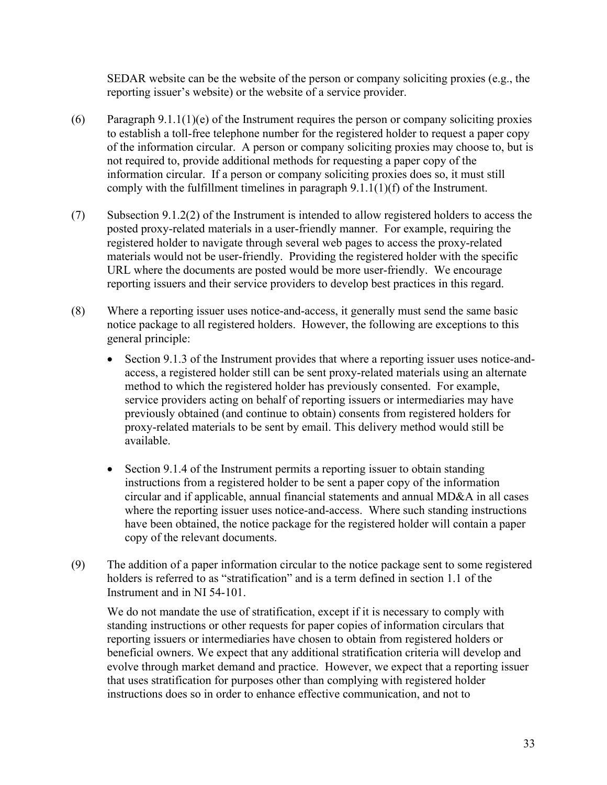SEDAR website can be the website of the person or company soliciting proxies (e.g., the reporting issuer's website) or the website of a service provider.

- (6) Paragraph  $9.1.1(1)(e)$  of the Instrument requires the person or company soliciting proxies to establish a toll-free telephone number for the registered holder to request a paper copy of the information circular. A person or company soliciting proxies may choose to, but is not required to, provide additional methods for requesting a paper copy of the information circular. If a person or company soliciting proxies does so, it must still comply with the fulfillment timelines in paragraph 9.1.1(1)(f) of the Instrument.
- (7) Subsection 9.1.2(2) of the Instrument is intended to allow registered holders to access the posted proxy-related materials in a user-friendly manner. For example, requiring the registered holder to navigate through several web pages to access the proxy-related materials would not be user-friendly. Providing the registered holder with the specific URL where the documents are posted would be more user-friendly. We encourage reporting issuers and their service providers to develop best practices in this regard.
- (8) Where a reporting issuer uses notice-and-access, it generally must send the same basic notice package to all registered holders. However, the following are exceptions to this general principle:
	- Section 9.1.3 of the Instrument provides that where a reporting issuer uses notice-andaccess, a registered holder still can be sent proxy-related materials using an alternate method to which the registered holder has previously consented. For example, service providers acting on behalf of reporting issuers or intermediaries may have previously obtained (and continue to obtain) consents from registered holders for proxy-related materials to be sent by email. This delivery method would still be available.
	- Section 9.1.4 of the Instrument permits a reporting issuer to obtain standing instructions from a registered holder to be sent a paper copy of the information circular and if applicable, annual financial statements and annual MD&A in all cases where the reporting issuer uses notice-and-access. Where such standing instructions have been obtained, the notice package for the registered holder will contain a paper copy of the relevant documents.
- (9) The addition of a paper information circular to the notice package sent to some registered holders is referred to as "stratification" and is a term defined in section 1.1 of the Instrument and in NI 54-101.

We do not mandate the use of stratification, except if it is necessary to comply with standing instructions or other requests for paper copies of information circulars that reporting issuers or intermediaries have chosen to obtain from registered holders or beneficial owners. We expect that any additional stratification criteria will develop and evolve through market demand and practice. However, we expect that a reporting issuer that uses stratification for purposes other than complying with registered holder instructions does so in order to enhance effective communication, and not to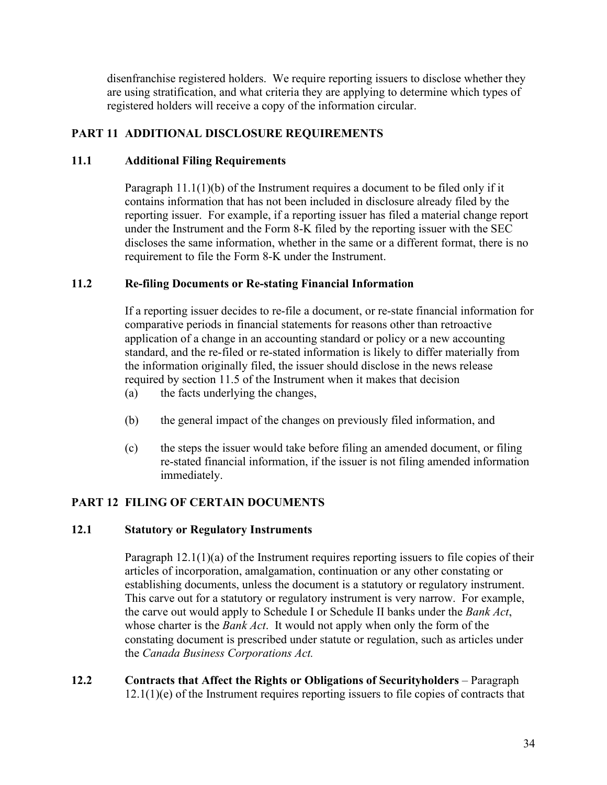disenfranchise registered holders. We require reporting issuers to disclose whether they are using stratification, and what criteria they are applying to determine which types of registered holders will receive a copy of the information circular.

# **PART 11 ADDITIONAL DISCLOSURE REQUIREMENTS**

### **11.1 Additional Filing Requirements**

Paragraph  $11.1(1)(b)$  of the Instrument requires a document to be filed only if it contains information that has not been included in disclosure already filed by the reporting issuer. For example, if a reporting issuer has filed a material change report under the Instrument and the Form 8-K filed by the reporting issuer with the SEC discloses the same information, whether in the same or a different format, there is no requirement to file the Form 8-K under the Instrument.

### **11.2 Re-filing Documents or Re-stating Financial Information**

If a reporting issuer decides to re-file a document, or re-state financial information for comparative periods in financial statements for reasons other than retroactive application of a change in an accounting standard or policy or a new accounting standard, and the re-filed or re-stated information is likely to differ materially from the information originally filed, the issuer should disclose in the news release required by section 11.5 of the Instrument when it makes that decision (a) the facts underlying the changes,

- 
- (b) the general impact of the changes on previously filed information, and
- (c) the steps the issuer would take before filing an amended document, or filing re-stated financial information, if the issuer is not filing amended information immediately.

# **PART 12 FILING OF CERTAIN DOCUMENTS**

### **12.1 Statutory or Regulatory Instruments**

Paragraph 12.1(1)(a) of the Instrument requires reporting issuers to file copies of their articles of incorporation, amalgamation, continuation or any other constating or establishing documents, unless the document is a statutory or regulatory instrument. This carve out for a statutory or regulatory instrument is very narrow. For example, the carve out would apply to Schedule I or Schedule II banks under the *Bank Act*, whose charter is the *Bank Act*. It would not apply when only the form of the constating document is prescribed under statute or regulation, such as articles under the *Canada Business Corporations Act.*

**12.2 Contracts that Affect the Rights or Obligations of Securityholders** – Paragraph  $12.1(1)(e)$  of the Instrument requires reporting issuers to file copies of contracts that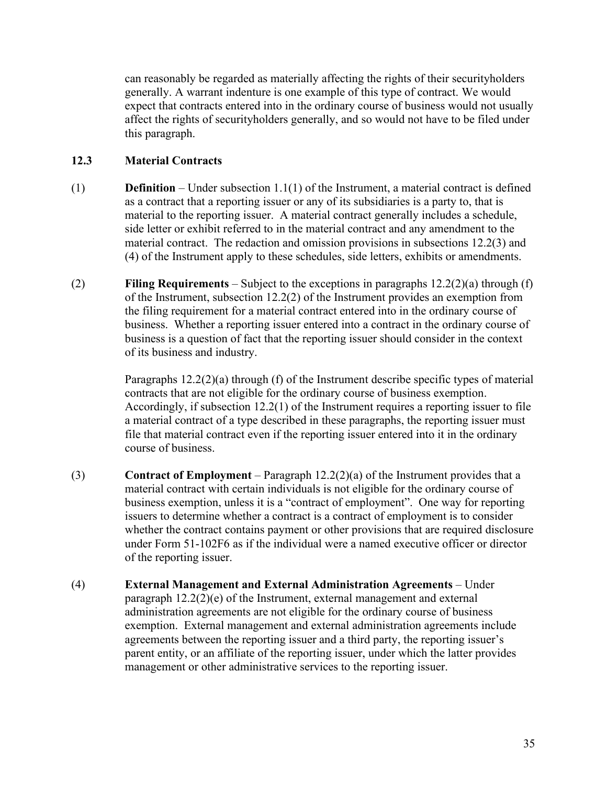can reasonably be regarded as materially affecting the rights of their securityholders generally. A warrant indenture is one example of this type of contract. We would expect that contracts entered into in the ordinary course of business would not usually affect the rights of securityholders generally, and so would not have to be filed under this paragraph.

# **12.3 Material Contracts**

- (1) **Definition** Under subsection 1.1(1) of the Instrument, a material contract is defined as a contract that a reporting issuer or any of its subsidiaries is a party to, that is material to the reporting issuer. A material contract generally includes a schedule, side letter or exhibit referred to in the material contract and any amendment to the material contract. The redaction and omission provisions in subsections 12.2(3) and (4) of the Instrument apply to these schedules, side letters, exhibits or amendments.
- (2) **Filing Requirements** Subject to the exceptions in paragraphs 12.2(2)(a) through (f) of the Instrument, subsection 12.2(2) of the Instrument provides an exemption from the filing requirement for a material contract entered into in the ordinary course of business. Whether a reporting issuer entered into a contract in the ordinary course of business is a question of fact that the reporting issuer should consider in the context of its business and industry.

Paragraphs 12.2(2)(a) through (f) of the Instrument describe specific types of material contracts that are not eligible for the ordinary course of business exemption. Accordingly, if subsection 12.2(1) of the Instrument requires a reporting issuer to file a material contract of a type described in these paragraphs, the reporting issuer must file that material contract even if the reporting issuer entered into it in the ordinary course of business.

- (3) **Contract of Employment** Paragraph 12.2(2)(a) of the Instrument provides that a material contract with certain individuals is not eligible for the ordinary course of business exemption, unless it is a "contract of employment". One way for reporting issuers to determine whether a contract is a contract of employment is to consider whether the contract contains payment or other provisions that are required disclosure under Form 51-102F6 as if the individual were a named executive officer or director of the reporting issuer.
- (4) **External Management and External Administration Agreements** Under paragraph 12.2(2)(e) of the Instrument, external management and external administration agreements are not eligible for the ordinary course of business exemption. External management and external administration agreements include agreements between the reporting issuer and a third party, the reporting issuer's parent entity, or an affiliate of the reporting issuer, under which the latter provides management or other administrative services to the reporting issuer.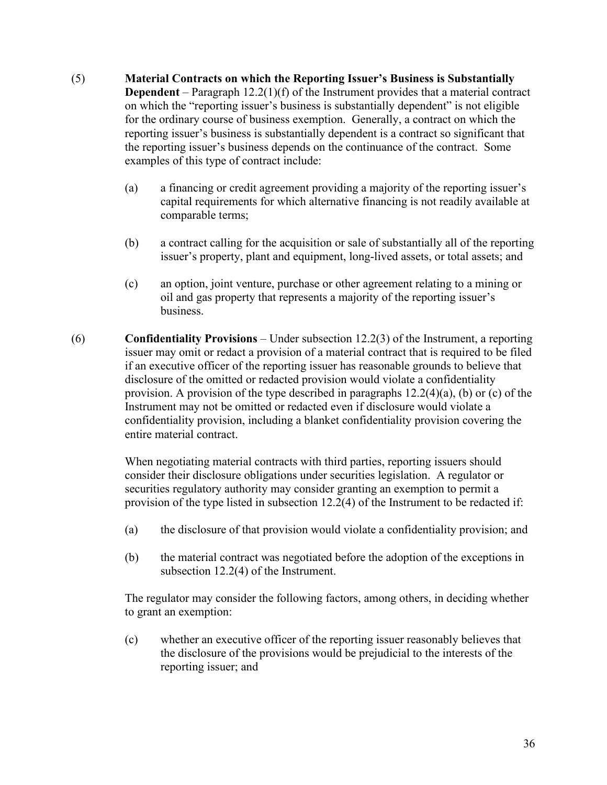- (5) **Material Contracts on which the Reporting Issuer's Business is Substantially Dependent** – Paragraph 12.2(1)(f) of the Instrument provides that a material contract on which the "reporting issuer's business is substantially dependent" is not eligible for the ordinary course of business exemption. Generally, a contract on which the reporting issuer's business is substantially dependent is a contract so significant that the reporting issuer's business depends on the continuance of the contract. Some examples of this type of contract include:
	- (a) a financing or credit agreement providing a majority of the reporting issuer's capital requirements for which alternative financing is not readily available at comparable terms;
	- (b) a contract calling for the acquisition or sale of substantially all of the reporting issuer's property, plant and equipment, long-lived assets, or total assets; and
	- (c) an option, joint venture, purchase or other agreement relating to a mining or oil and gas property that represents a majority of the reporting issuer's business.
- (6) **Confidentiality Provisions** Under subsection 12.2(3) of the Instrument, a reporting issuer may omit or redact a provision of a material contract that is required to be filed if an executive officer of the reporting issuer has reasonable grounds to believe that disclosure of the omitted or redacted provision would violate a confidentiality provision. A provision of the type described in paragraphs  $12.2(4)(a)$ , (b) or (c) of the Instrument may not be omitted or redacted even if disclosure would violate a confidentiality provision, including a blanket confidentiality provision covering the entire material contract.

When negotiating material contracts with third parties, reporting issuers should consider their disclosure obligations under securities legislation. A regulator or securities regulatory authority may consider granting an exemption to permit a provision of the type listed in subsection 12.2(4) of the Instrument to be redacted if:

- (a) the disclosure of that provision would violate a confidentiality provision; and
- (b) the material contract was negotiated before the adoption of the exceptions in subsection 12.2(4) of the Instrument.

The regulator may consider the following factors, among others, in deciding whether to grant an exemption:

(c) whether an executive officer of the reporting issuer reasonably believes that the disclosure of the provisions would be prejudicial to the interests of the reporting issuer; and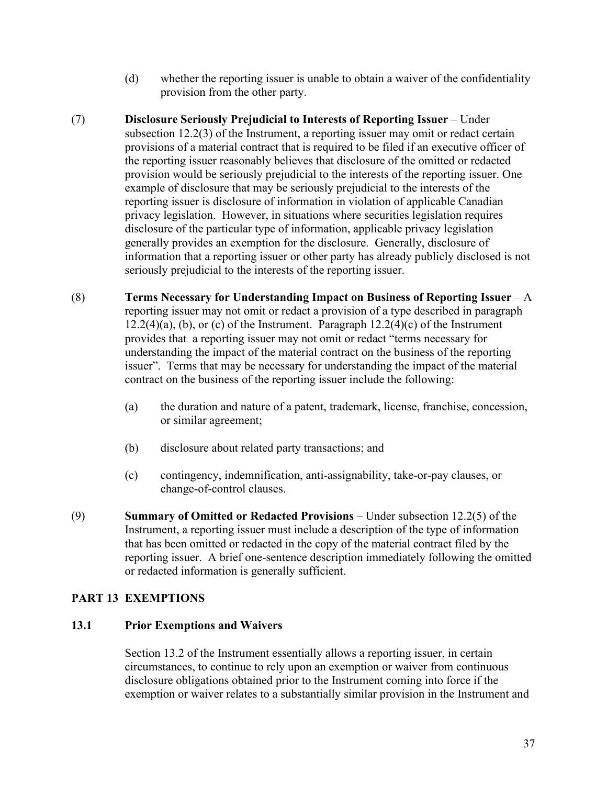- (d) whether the reporting issuer is unable to obtain a waiver of the confidentiality provision from the other party.
- (7) **Disclosure Seriously Prejudicial to Interests of Reporting Issuer** Under subsection 12.2(3) of the Instrument, a reporting issuer may omit or redact certain provisions of a material contract that is required to be filed if an executive officer of the reporting issuer reasonably believes that disclosure of the omitted or redacted provision would be seriously prejudicial to the interests of the reporting issuer. One example of disclosure that may be seriously prejudicial to the interests of the reporting issuer is disclosure of information in violation of applicable Canadian privacy legislation. However, in situations where securities legislation requires disclosure of the particular type of information, applicable privacy legislation generally provides an exemption for the disclosure. Generally, disclosure of information that a reporting issuer or other party has already publicly disclosed is not seriously prejudicial to the interests of the reporting issuer.
- (8) **Terms Necessary for Understanding Impact on Business of Reporting Issuer** A reporting issuer may not omit or redact a provision of a type described in paragraph  $12.2(4)(a)$ , (b), or (c) of the Instrument. Paragraph  $12.2(4)(c)$  of the Instrument provides that a reporting issuer may not omit or redact "terms necessary for understanding the impact of the material contract on the business of the reporting issuer". Terms that may be necessary for understanding the impact of the material contract on the business of the reporting issuer include the following:
	- (a) the duration and nature of a patent, trademark, license, franchise, concession, or similar agreement;
	- (b) disclosure about related party transactions; and
	- (c) contingency, indemnification, anti-assignability, take-or-pay clauses, or change-of-control clauses.
- (9) **Summary of Omitted or Redacted Provisions** Under subsection 12.2(5) of the Instrument, a reporting issuer must include a description of the type of information that has been omitted or redacted in the copy of the material contract filed by the reporting issuer. A brief one-sentence description immediately following the omitted or redacted information is generally sufficient.

# **PART 13 EXEMPTIONS**

# **13.1 Prior Exemptions and Waivers**

Section 13.2 of the Instrument essentially allows a reporting issuer, in certain circumstances, to continue to rely upon an exemption or waiver from continuous disclosure obligations obtained prior to the Instrument coming into force if the exemption or waiver relates to a substantially similar provision in the Instrument and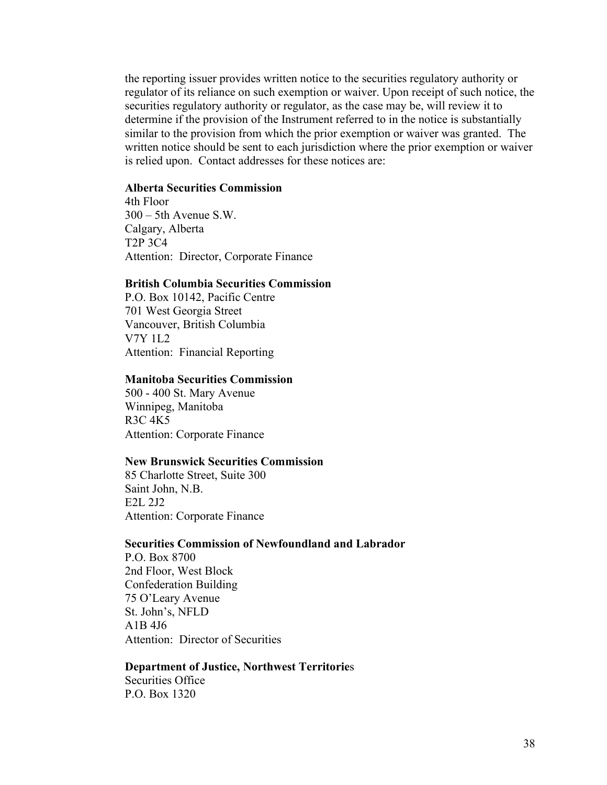the reporting issuer provides written notice to the securities regulatory authority or regulator of its reliance on such exemption or waiver. Upon receipt of such notice, the securities regulatory authority or regulator, as the case may be, will review it to determine if the provision of the Instrument referred to in the notice is substantially similar to the provision from which the prior exemption or waiver was granted. The written notice should be sent to each jurisdiction where the prior exemption or waiver is relied upon. Contact addresses for these notices are:

### **Alberta Securities Commission**

4th Floor 300 – 5th Avenue S.W. Calgary, Alberta T2P 3C4 Attention: Director, Corporate Finance

#### **British Columbia Securities Commission**

P.O. Box 10142, Pacific Centre 701 West Georgia Street Vancouver, British Columbia V7Y 1L2 Attention: Financial Reporting

#### **Manitoba Securities Commission**

500 - 400 St. Mary Avenue Winnipeg, Manitoba R3C 4K5 Attention: Corporate Finance

#### **New Brunswick Securities Commission**

85 Charlotte Street, Suite 300 Saint John, N.B. E2L 2J2 Attention: Corporate Finance

#### **Securities Commission of Newfoundland and Labrador**

P.O. Box 8700 2nd Floor, West Block Confederation Building 75 O'Leary Avenue St. John's, NFLD A1B 4J6 Attention: Director of Securities

### **Department of Justice, Northwest Territorie**s

Securities Office P.O. Box 1320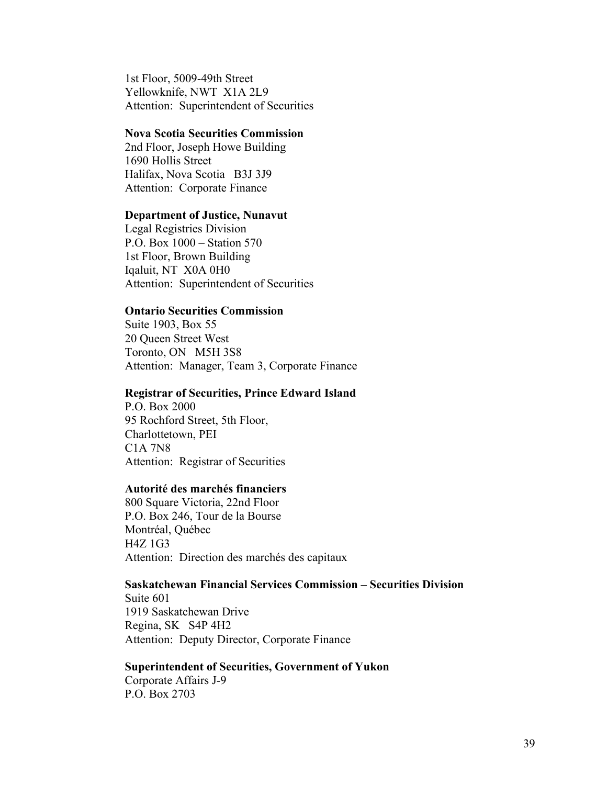1st Floor, 5009-49th Street Yellowknife, NWT X1A 2L9 Attention: Superintendent of Securities

### **Nova Scotia Securities Commission**

2nd Floor, Joseph Howe Building 1690 Hollis Street Halifax, Nova Scotia B3J 3J9 Attention: Corporate Finance

#### **Department of Justice, Nunavut**

Legal Registries Division P.O. Box 1000 – Station 570 1st Floor, Brown Building Iqaluit, NT X0A 0H0 Attention: Superintendent of Securities

#### **Ontario Securities Commission**

Suite 1903, Box 55 20 Queen Street West Toronto, ON M5H 3S8 Attention: Manager, Team 3, Corporate Finance

#### **Registrar of Securities, Prince Edward Island**

P.O. Box 2000 95 Rochford Street, 5th Floor, Charlottetown, PEI C1A 7N8 Attention: Registrar of Securities

#### **Autorité des marchés financiers**

800 Square Victoria, 22nd Floor P.O. Box 246, Tour de la Bourse Montréal, Québec H4Z 1G3 Attention: Direction des marchés des capitaux

#### **Saskatchewan Financial Services Commission – Securities Division**

Suite 601 1919 Saskatchewan Drive Regina, SK S4P 4H2 Attention: Deputy Director, Corporate Finance

#### **Superintendent of Securities, Government of Yukon**

Corporate Affairs J-9 P.O. Box 2703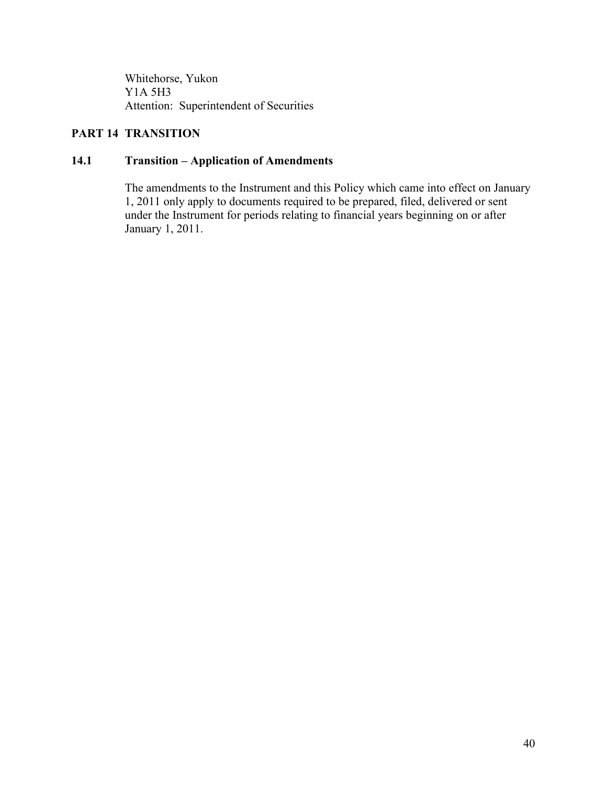Whitehorse, Yukon Y1A 5H3 Attention: Superintendent of Securities

# **PART 14 TRANSITION**

# **14.1 Transition – Application of Amendments**

The amendments to the Instrument and this Policy which came into effect on January 1, 2011 only apply to documents required to be prepared, filed, delivered or sent under the Instrument for periods relating to financial years beginning on or after January 1, 2011.